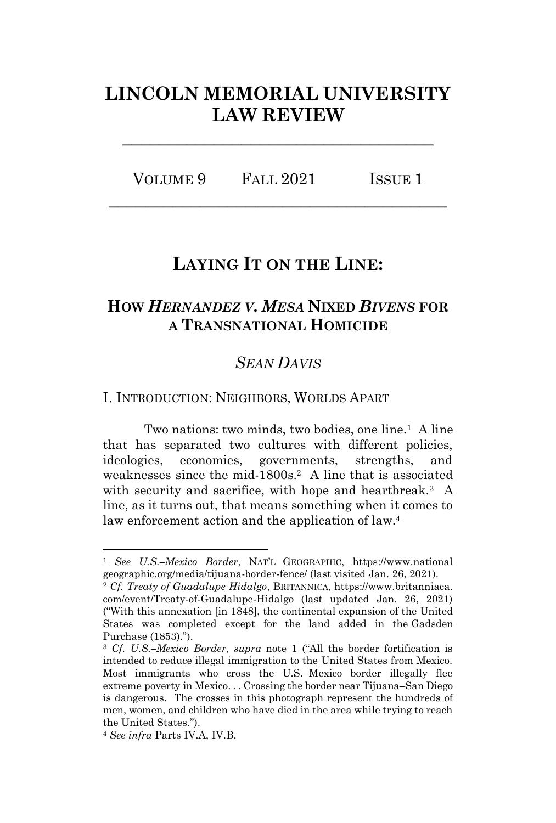# **LINCOLN MEMORIAL UNIVERSITY LAW REVIEW**

**\_\_\_\_\_\_\_\_\_\_\_\_\_\_\_\_\_\_\_\_\_\_\_\_\_\_\_\_\_\_\_\_\_\_**

VOLUME 9 FALL 2021 ISSUE 1 **\_\_\_\_\_\_\_\_\_\_\_\_\_\_\_\_\_\_\_\_\_\_\_\_\_\_\_\_\_\_\_\_\_\_\_\_\_**

## **LAYING IT ON THE LINE:**

## **HOW** *HERNANDEZ V. MESA* **NIXED** *BIVENS* **FOR A TRANSNATIONAL HOMICIDE**

## <span id="page-0-0"></span>*SEAN DAVIS*

I. INTRODUCTION: NEIGHBORS, WORLDS APART

Two nations: two minds, two bodies, one line.<sup>1</sup> A line that has separated two cultures with different policies, ideologies, economies, governments, strengths, and weaknesses since the mid-1800s.<sup>2</sup> A line that is associated with security and sacrifice, with hope and heartbreak.<sup>3</sup> A line, as it turns out, that means something when it comes to law enforcement action and the application of law.<sup>4</sup>

<sup>1</sup> *See U.S.–Mexico Border*, NAT'L GEOGRAPHIC, https://www.national geographic.org/media/tijuana-border-fence/ (last visited Jan. 26, 2021).

<sup>2</sup> *Cf. Treaty of Guadalupe Hidalgo*, BRITANNICA, https://www.britanniaca. com/event/Treaty-of-Guadalupe-Hidalgo (last updated Jan. 26, 2021) ("With this annexation [in 1848], the continental expansion of the United States was completed except for the land added in the Gadsden Purchase (1853).").

<sup>3</sup> *Cf. U.S.–Mexico Border*, *supra* note [1](#page-0-0) ("All the border fortification is intended to reduce illegal immigration to the United States from Mexico. Most immigrants who cross the U.S.–Mexico border illegally flee extreme poverty in Mexico. . . Crossing the border near Tijuana–San Diego is dangerous. The crosses in this photograph represent the hundreds of men, women, and children who have died in the area while trying to reach the United States.").

<sup>4</sup> *See infra* Parts IV.A, IV.B.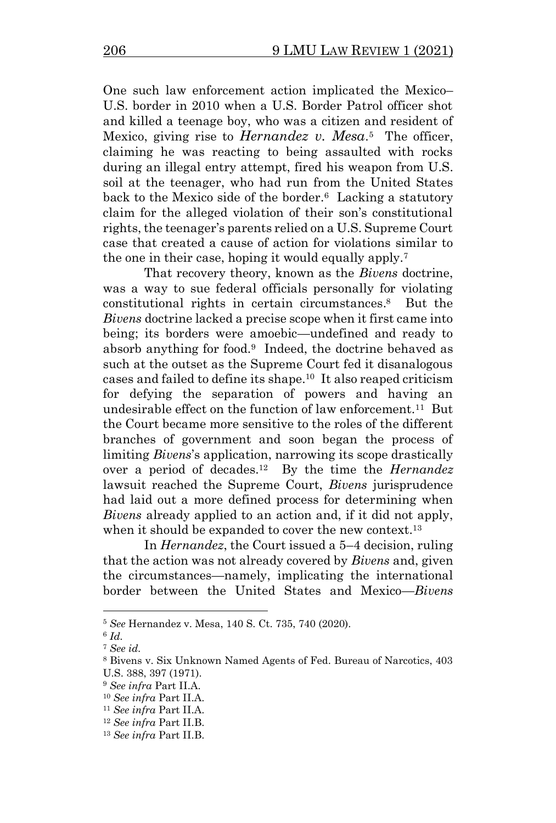One such law enforcement action implicated the Mexico– U.S. border in 2010 when a U.S. Border Patrol officer shot and killed a teenage boy, who was a citizen and resident of Mexico, giving rise to *Hernandez v. Mesa*.<sup>5</sup> The officer, claiming he was reacting to being assaulted with rocks during an illegal entry attempt, fired his weapon from U.S. soil at the teenager, who had run from the United States back to the Mexico side of the border.<sup>6</sup> Lacking a statutory claim for the alleged violation of their son's constitutional rights, the teenager's parents relied on a U.S. Supreme Court case that created a cause of action for violations similar to the one in their case, hoping it would equally apply.<sup>7</sup>

That recovery theory, known as the *Bivens* doctrine, was a way to sue federal officials personally for violating constitutional rights in certain circumstances. <sup>8</sup> But the *Bivens* doctrine lacked a precise scope when it first came into being; its borders were amoebic—undefined and ready to absorb anything for food.<sup>9</sup> Indeed, the doctrine behaved as such at the outset as the Supreme Court fed it disanalogous cases and failed to define its shape.<sup>10</sup> It also reaped criticism for defying the separation of powers and having an undesirable effect on the function of law enforcement.<sup>11</sup> But the Court became more sensitive to the roles of the different branches of government and soon began the process of limiting *Bivens*'s application, narrowing its scope drastically over a period of decades.<sup>12</sup> By the time the *Hernandez* lawsuit reached the Supreme Court, *Bivens* jurisprudence had laid out a more defined process for determining when *Bivens* already applied to an action and, if it did not apply, when it should be expanded to cover the new context.<sup>13</sup>

In *Hernandez*, the Court issued a 5–4 decision, ruling that the action was not already covered by *Bivens* and, given the circumstances—namely, implicating the international border between the United States and Mexico—*Bivens* 

<sup>5</sup> *See* Hernandez v. Mesa, 140 S. Ct. 735, 740 (2020).

<sup>6</sup> *Id.*

<sup>7</sup> *See id.*

<sup>8</sup> Bivens v. Six Unknown Named Agents of Fed. Bureau of Narcotics, 403 U.S. 388, 397 (1971).

<sup>9</sup> *See infra* Part II.A.

<sup>10</sup> *See infra* Part II.A.

<sup>11</sup> *See infra* Part II.A.

<sup>12</sup> *See infra* Part II.B.

<sup>13</sup> *See infra* Part II.B.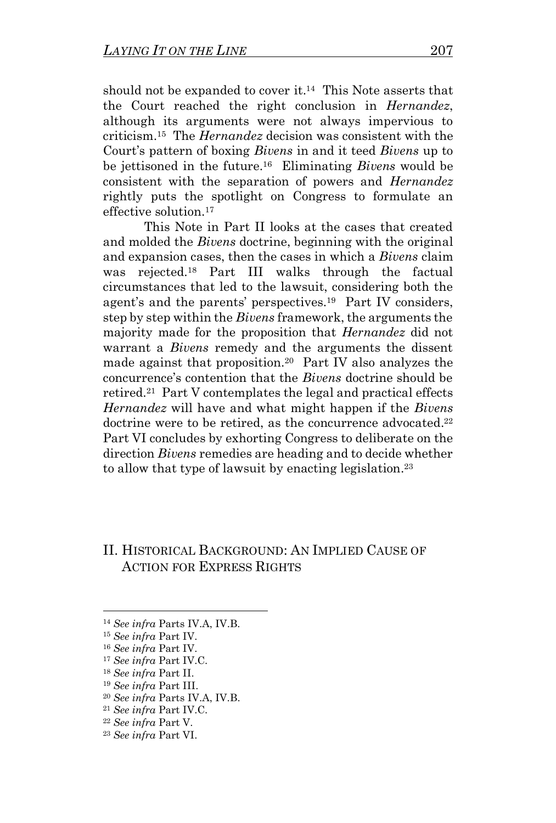should not be expanded to cover it.<sup>14</sup> This Note asserts that the Court reached the right conclusion in *Hernandez*, although its arguments were not always impervious to criticism. 15 The *Hernandez* decision was consistent with the Court's pattern of boxing *Bivens* in and it teed *Bivens* up to be jettisoned in the future.<sup>16</sup> Eliminating *Bivens* would be consistent with the separation of powers and *Hernandez*  rightly puts the spotlight on Congress to formulate an effective solution.<sup>17</sup>

This Note in Part II looks at the cases that created and molded the *Bivens* doctrine, beginning with the original and expansion cases, then the cases in which a *Bivens* claim was rejected.<sup>18</sup> Part III walks through the factual circumstances that led to the lawsuit, considering both the agent's and the parents' perspectives.<sup>19</sup> Part IV considers, step by step within the *Bivens* framework, the arguments the majority made for the proposition that *Hernandez* did not warrant a *Bivens* remedy and the arguments the dissent made against that proposition.<sup>20</sup> Part IV also analyzes the concurrence's contention that the *Bivens* doctrine should be retired.<sup>21</sup> Part V contemplates the legal and practical effects *Hernandez* will have and what might happen if the *Bivens*  doctrine were to be retired, as the concurrence advocated.<sup>22</sup> Part VI concludes by exhorting Congress to deliberate on the direction *Bivens* remedies are heading and to decide whether to allow that type of lawsuit by enacting legislation.<sup>23</sup>

## II. HISTORICAL BACKGROUND: AN IMPLIED CAUSE OF ACTION FOR EXPRESS RIGHTS

<sup>14</sup> *See infra* Parts IV.A, IV.B.

<sup>15</sup> *See infra* Part IV.

<sup>16</sup> *See infra* Part IV.

<sup>17</sup> *See infra* Part IV.C.

<sup>18</sup> *See infra* Part II.

<sup>19</sup> *See infra* Part III.

<sup>20</sup> *See infra* Parts IV.A, IV.B.

<sup>21</sup> *See infra* Part IV.C.

<sup>22</sup> *See infra* Part V.

<sup>23</sup> *See infra* Part VI.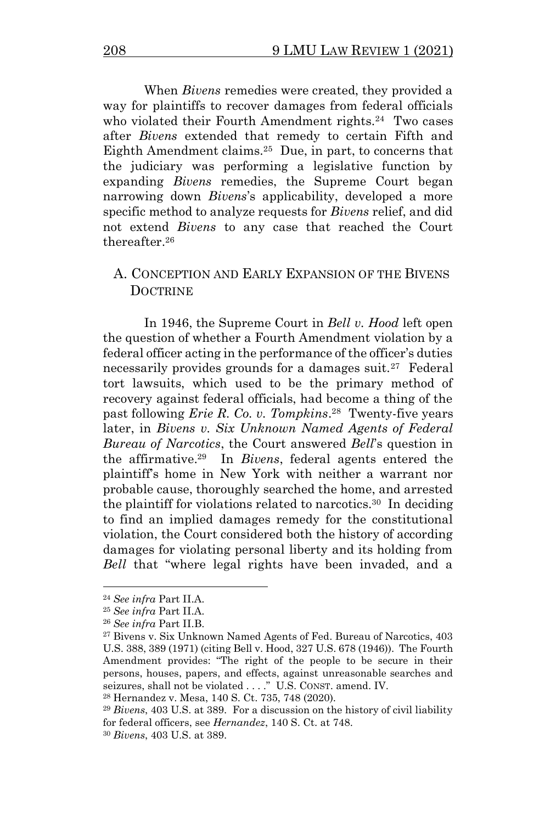When *Bivens* remedies were created, they provided a way for plaintiffs to recover damages from federal officials who violated their Fourth Amendment rights.<sup>24</sup> Two cases after *Bivens* extended that remedy to certain Fifth and Eighth Amendment claims.<sup>25</sup> Due, in part, to concerns that the judiciary was performing a legislative function by expanding *Bivens* remedies, the Supreme Court began narrowing down *Bivens*'s applicability, developed a more specific method to analyze requests for *Bivens* relief, and did not extend *Bivens* to any case that reached the Court thereafter. 26

## A. CONCEPTION AND EARLY EXPANSION OF THE BIVENS **DOCTRINE**

In 1946, the Supreme Court in *Bell v. Hood* left open the question of whether a Fourth Amendment violation by a federal officer acting in the performance of the officer's duties necessarily provides grounds for a damages suit.<sup>27</sup> Federal tort lawsuits, which used to be the primary method of recovery against federal officials, had become a thing of the past following *Erie R. Co. v. Tompkins*. 28 Twenty-five years later, in *Bivens v. Six Unknown Named Agents of Federal Bureau of Narcotics*, the Court answered *Bell*'s question in the affirmative.<sup>29</sup> In *Bivens*, federal agents entered the plaintiff's home in New York with neither a warrant nor probable cause, thoroughly searched the home, and arrested the plaintiff for violations related to narcotics.<sup>30</sup> In deciding to find an implied damages remedy for the constitutional violation, the Court considered both the history of according damages for violating personal liberty and its holding from *Bell* that "where legal rights have been invaded, and a

<sup>24</sup> *See infra* Part II.A.

<sup>25</sup> *See infra* Part II.A.

<sup>26</sup> *See infra* Part II.B.

<sup>27</sup> Bivens v. Six Unknown Named Agents of Fed. Bureau of Narcotics, 403 U.S. 388, 389 (1971) (citing Bell v. Hood, 327 U.S. 678 (1946)). The Fourth Amendment provides: "The right of the people to be secure in their persons, houses, papers, and effects, against unreasonable searches and seizures, shall not be violated . . . ." U.S. CONST. amend. IV.

<sup>28</sup> Hernandez v. Mesa, 140 S. Ct. 735, 748 (2020).

<sup>29</sup> *Bivens*, 403 U.S. at 389. For a discussion on the history of civil liability for federal officers, see *Hernandez*, 140 S. Ct. at 748.

<sup>30</sup> *Bivens*, 403 U.S. at 389.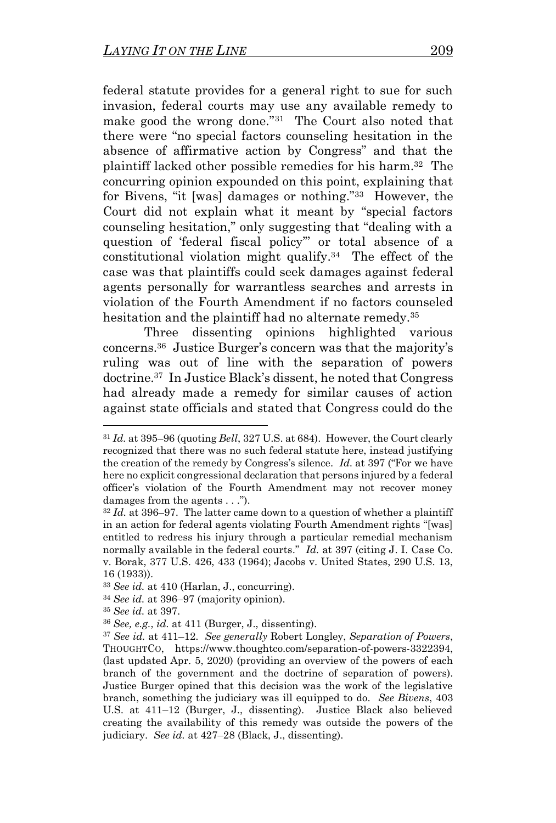federal statute provides for a general right to sue for such invasion, federal courts may use any available remedy to make good the wrong done."<sup>31</sup> The Court also noted that there were "no special factors counseling hesitation in the absence of affirmative action by Congress" and that the plaintiff lacked other possible remedies for his harm. 32 The concurring opinion expounded on this point, explaining that for Bivens, "it [was] damages or nothing."<sup>33</sup> However, the Court did not explain what it meant by "special factors counseling hesitation," only suggesting that "dealing with a question of 'federal fiscal policy'" or total absence of a constitutional violation might qualify.<sup>34</sup> The effect of the case was that plaintiffs could seek damages against federal agents personally for warrantless searches and arrests in violation of the Fourth Amendment if no factors counseled hesitation and the plaintiff had no alternate remedy.<sup>35</sup>

<span id="page-4-0"></span>Three dissenting opinions highlighted various concerns. <sup>36</sup> Justice Burger's concern was that the majority's ruling was out of line with the separation of powers doctrine.<sup>37</sup> In Justice Black's dissent, he noted that Congress had already made a remedy for similar causes of action against state officials and stated that Congress could do the

<sup>31</sup> *Id.* at 395–96 (quoting *Bell*, 327 U.S. at 684). However, the Court clearly recognized that there was no such federal statute here, instead justifying the creation of the remedy by Congress's silence. *Id.* at 397 ("For we have here no explicit congressional declaration that persons injured by a federal officer's violation of the Fourth Amendment may not recover money damages from the agents . . .").

 $32$  *Id.* at 396–97. The latter came down to a question of whether a plaintiff in an action for federal agents violating Fourth Amendment rights "[was] entitled to redress his injury through a particular remedial mechanism normally available in the federal courts." *Id.* at 397 (citing J. I. Case Co. v. Borak, 377 U.S. 426, 433 (1964); Jacobs v. United States, 290 U.S. 13, 16 (1933)).

<sup>33</sup> *See id.* at 410 (Harlan, J., concurring).

<sup>34</sup> *See id.* at 396–97 (majority opinion).

<sup>35</sup> *See id.* at 397.

<sup>36</sup> *See, e.g.*, *id.* at 411 (Burger, J., dissenting).

<sup>37</sup> *See id.* at 411–12. *See generally* Robert Longley, *Separation of Powers*, THOUGHTCO, https://www.thoughtco.com/separation-of-powers-3322394, (last updated Apr. 5, 2020) (providing an overview of the powers of each branch of the government and the doctrine of separation of powers). Justice Burger opined that this decision was the work of the legislative branch, something the judiciary was ill equipped to do. *See Bivens*, 403 U.S. at 411–12 (Burger, J., dissenting).Justice Black also believed creating the availability of this remedy was outside the powers of the judiciary. *See id.* at 427–28 (Black, J., dissenting).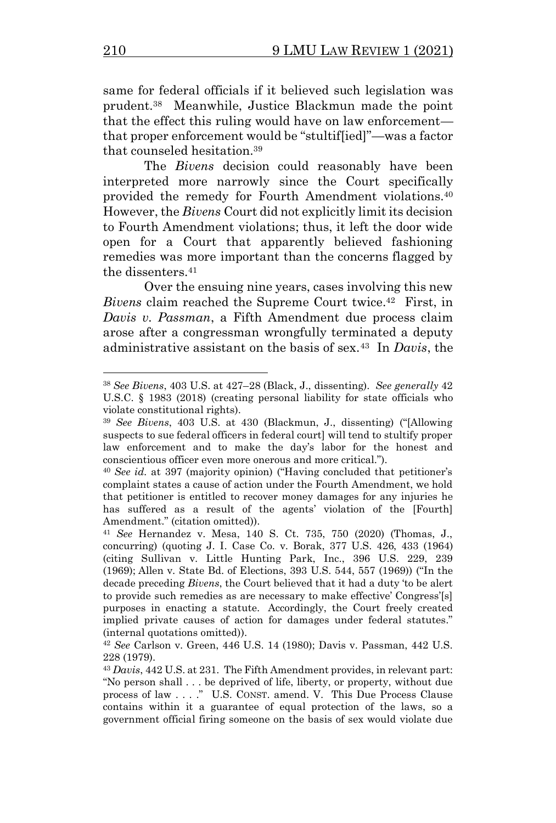same for federal officials if it believed such legislation was prudent.<sup>38</sup> Meanwhile, Justice Blackmun made the point that the effect this ruling would have on law enforcement that proper enforcement would be "stultif[ied]"—was a factor that counseled hesitation.<sup>39</sup>

The *Bivens* decision could reasonably have been interpreted more narrowly since the Court specifically provided the remedy for Fourth Amendment violations.<sup>40</sup> However, the *Bivens* Court did not explicitly limit its decision to Fourth Amendment violations; thus, it left the door wide open for a Court that apparently believed fashioning remedies was more important than the concerns flagged by the dissenters.<sup>41</sup>

Over the ensuing nine years, cases involving this new Bivens claim reached the Supreme Court twice.<sup>42</sup> First, in *Davis v. Passman*, a Fifth Amendment due process claim arose after a congressman wrongfully terminated a deputy administrative assistant on the basis of sex.<sup>43</sup> In *Davis*, the

<sup>38</sup> *See Bivens*, 403 U.S. at 427–28 (Black, J., dissenting). *See generally* 42 U.S.C. § 1983 (2018) (creating personal liability for state officials who violate constitutional rights).

<sup>39</sup> *See Bivens*, 403 U.S. at 430 (Blackmun, J., dissenting) ("[Allowing suspects to sue federal officers in federal court] will tend to stultify proper law enforcement and to make the day's labor for the honest and conscientious officer even more onerous and more critical.").

<sup>40</sup> *See id.* at 397 (majority opinion) ("Having concluded that petitioner's complaint states a cause of action under the Fourth Amendment, we hold that petitioner is entitled to recover money damages for any injuries he has suffered as a result of the agents' violation of the [Fourth] Amendment." (citation omitted)).

<sup>41</sup> *See* Hernandez v. Mesa, 140 S. Ct. 735, 750 (2020) (Thomas, J., concurring) (quoting J. I. Case Co. v. Borak, 377 U.S. 426, 433 (1964) (citing Sullivan v. Little Hunting Park, Inc., 396 U.S. 229, 239 (1969); Allen v. State Bd. of Elections, 393 U.S. 544, 557 (1969)) ("In the decade preceding *Bivens*, the Court believed that it had a duty 'to be alert to provide such remedies as are necessary to make effective' Congress'[s] purposes in enacting a statute. Accordingly, the Court freely created implied private causes of action for damages under federal statutes." (internal quotations omitted)).

<sup>42</sup> *See* Carlson v. Green, 446 U.S. 14 (1980); Davis v. Passman, 442 U.S. 228 (1979).

<sup>43</sup> *Davis*, 442 U.S. at 231. The Fifth Amendment provides, in relevant part: "No person shall . . . be deprived of life, liberty, or property, without due process of law . . . ." U.S. CONST. amend. V. This Due Process Clause contains within it a guarantee of equal protection of the laws, so a government official firing someone on the basis of sex would violate due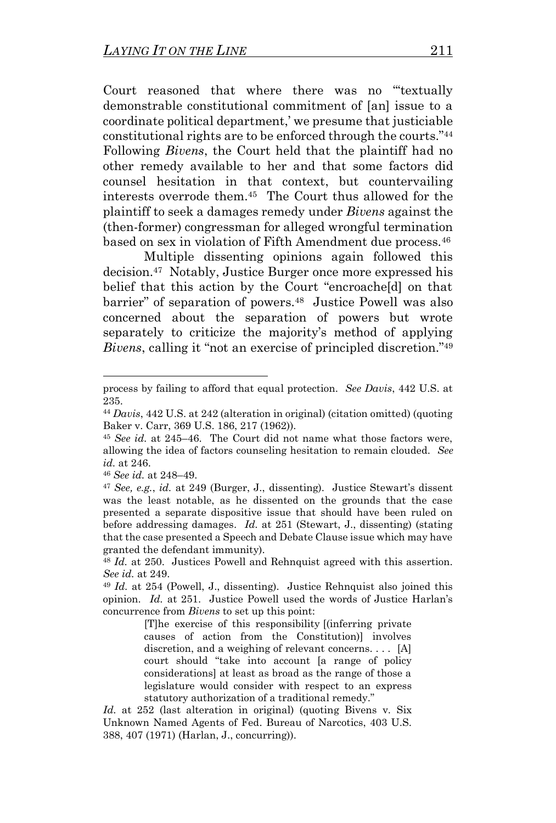Court reasoned that where there was no "'textually demonstrable constitutional commitment of [an] issue to a coordinate political department,' we presume that justiciable constitutional rights are to be enforced through the courts."<sup>44</sup> Following *Bivens*, the Court held that the plaintiff had no other remedy available to her and that some factors did counsel hesitation in that context, but countervailing interests overrode them.<sup>45</sup> The Court thus allowed for the plaintiff to seek a damages remedy under *Bivens* against the (then-former) congressman for alleged wrongful termination based on sex in violation of Fifth Amendment due process.<sup>46</sup>

Multiple dissenting opinions again followed this decision.<sup>47</sup> Notably, Justice Burger once more expressed his belief that this action by the Court "encroacheldl on that barrier" of separation of powers.<sup>48</sup> Justice Powell was also concerned about the separation of powers but wrote separately to criticize the majority's method of applying *Bivens*, calling it "not an exercise of principled discretion."<sup>49</sup>

[T]he exercise of this responsibility [(inferring private causes of action from the Constitution)] involves discretion, and a weighing of relevant concerns. . . . [A] court should "take into account [a range of policy considerations] at least as broad as the range of those a legislature would consider with respect to an express statutory authorization of a traditional remedy."

*Id.* at 252 (last alteration in original) (quoting Bivens v. Six Unknown Named Agents of Fed. Bureau of Narcotics, 403 U.S. 388, 407 (1971) (Harlan, J., concurring)).

process by failing to afford that equal protection. *See Davis*, 442 U.S. at 235.

<sup>44</sup> *Davis*, 442 U.S. at 242 (alteration in original) (citation omitted) (quoting Baker v. Carr, 369 U.S. 186, 217 (1962)).

<sup>45</sup> *See id.* at 245–46. The Court did not name what those factors were, allowing the idea of factors counseling hesitation to remain clouded. *See id.* at 246.

<sup>46</sup> *See id.* at 248–49.

<sup>47</sup> *See, e.g.*, *id.* at 249 (Burger, J., dissenting). Justice Stewart's dissent was the least notable, as he dissented on the grounds that the case presented a separate dispositive issue that should have been ruled on before addressing damages. *Id.* at 251 (Stewart, J., dissenting) (stating that the case presented a Speech and Debate Clause issue which may have granted the defendant immunity).

<sup>48</sup> *Id.* at 250. Justices Powell and Rehnquist agreed with this assertion. *See id.* at 249.

<sup>49</sup> *Id.* at 254 (Powell, J., dissenting). Justice Rehnquist also joined this opinion. *Id.* at 251. Justice Powell used the words of Justice Harlan's concurrence from *Bivens* to set up this point: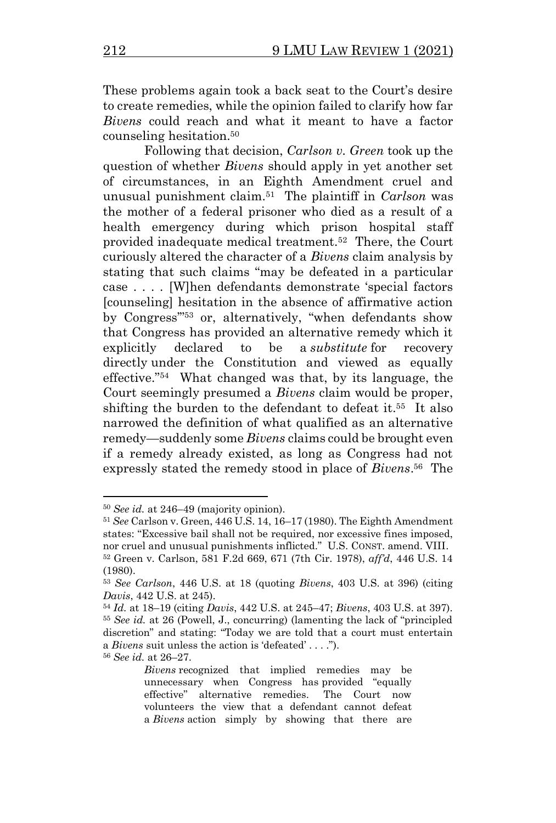These problems again took a back seat to the Court's desire to create remedies, while the opinion failed to clarify how far *Bivens* could reach and what it meant to have a factor counseling hesitation.<sup>50</sup>

Following that decision, *Carlson v. Green* took up the question of whether *Bivens* should apply in yet another set of circumstances, in an Eighth Amendment cruel and unusual punishment claim.<sup>51</sup> The plaintiff in *Carlson* was the mother of a federal prisoner who died as a result of a health emergency during which prison hospital staff provided inadequate medical treatment.<sup>52</sup> There, the Court curiously altered the character of a *Bivens* claim analysis by stating that such claims "may be defeated in a particular case . . . . [W]hen defendants demonstrate 'special factors [counseling] hesitation in the absence of affirmative action by Congress'"<sup>53</sup> or, alternatively, "when defendants show that Congress has provided an alternative remedy which it explicitly declared to be a *substitute* for recovery directly under the Constitution and viewed as equally effective."<sup>54</sup> What changed was that, by its language, the Court seemingly presumed a *Bivens* claim would be proper, shifting the burden to the defendant to defeat it.<sup>55</sup> It also narrowed the definition of what qualified as an alternative remedy—suddenly some *Bivens* claims could be brought even if a remedy already existed, as long as Congress had not expressly stated the remedy stood in place of *Bivens*. 56 The

<sup>56</sup> *See id.* at 26–27.

<sup>50</sup> *See id.* at 246–49 (majority opinion).

<sup>51</sup> *See* Carlson v. Green, 446 U.S. 14, 16–17 (1980). The Eighth Amendment states: "Excessive bail shall not be required, nor excessive fines imposed, nor cruel and unusual punishments inflicted." U.S. CONST. amend. VIII. <sup>52</sup> Green v. Carlson, 581 F.2d 669, 671 (7th Cir. 1978), *aff'd*, 446 U.S. 14 (1980).

<sup>53</sup> *See Carlson*, 446 U.S. at 18 (quoting *Bivens*, 403 U.S. at 396) (citing *Davis*, 442 U.S. at 245).

<sup>54</sup> *Id.* at 18–19 (citing *Davis*, 442 U.S. at 245–47; *Bivens*, 403 U.S. at 397). <sup>55</sup> *See id.* at 26 (Powell, J., concurring) (lamenting the lack of "principled discretion" and stating: "Today we are told that a court must entertain a *Bivens* suit unless the action is 'defeated' . . . .").

*Bivens* recognized that implied remedies may be unnecessary when Congress has provided "equally effective" alternative remedies. The Court now volunteers the view that a defendant cannot defeat a *Bivens* action simply by showing that there are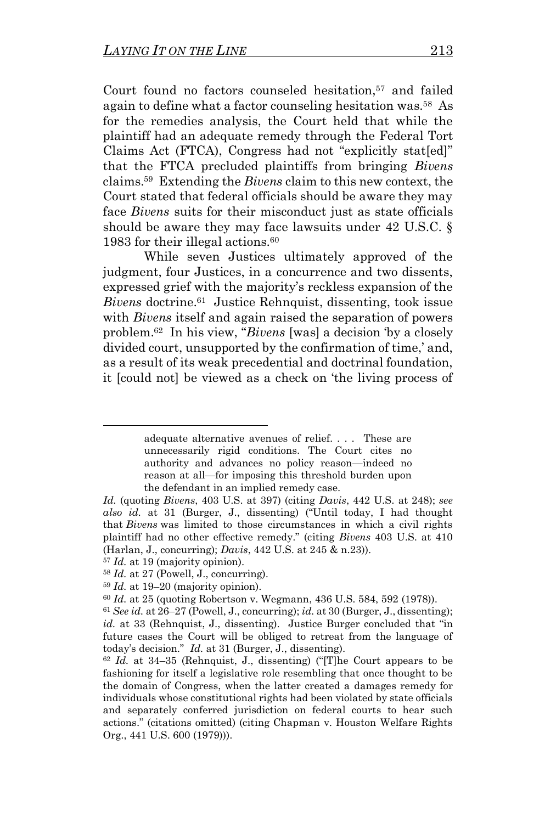Court found no factors counseled hesitation,<sup>57</sup> and failed again to define what a factor counseling hesitation was. <sup>58</sup> As for the remedies analysis, the Court held that while the plaintiff had an adequate remedy through the Federal Tort Claims Act (FTCA), Congress had not "explicitly stat[ed]" that the FTCA precluded plaintiffs from bringing *Bivens*  claims.<sup>59</sup> Extending the *Bivens* claim to this new context, the Court stated that federal officials should be aware they may face *Bivens* suits for their misconduct just as state officials should be aware they may face lawsuits under 42 U.S.C. § 1983 for their illegal actions.  $60$ 

While seven Justices ultimately approved of the judgment, four Justices, in a concurrence and two dissents, expressed grief with the majority's reckless expansion of the Bivens doctrine.<sup>61</sup> Justice Rehnquist, dissenting, took issue with *Bivens* itself and again raised the separation of powers problem.<sup>62</sup> In his view, "*Bivens* [was] a decision 'by a closely divided court, unsupported by the confirmation of time,' and, as a result of its weak precedential and doctrinal foundation, it [could not] be viewed as a check on 'the living process of

<sup>57</sup> *Id.* at 19 (majority opinion).

adequate alternative avenues of relief. . . . These are unnecessarily rigid conditions. The Court cites no authority and advances no policy reason—indeed no reason at all—for imposing this threshold burden upon the defendant in an implied remedy case.

*Id.* (quoting *Bivens*, 403 U.S. at 397) (citing *Davis*, 442 U.S. at 248); *see also id.* at 31 (Burger, J., dissenting) ("Until today, I had thought that *Bivens* was limited to those circumstances in which a civil rights plaintiff had no other effective remedy." (citing *Bivens* 403 U.S. at 410 (Harlan, J., concurring); *Davis*, 442 U.S. at 245 & n.23)).

<sup>58</sup> *Id.* at 27 (Powell, J., concurring).

<sup>59</sup> *Id.* at 19–20 (majority opinion).

<sup>60</sup> *Id.* at 25 (quoting Robertson v. Wegmann, 436 U.S. 584, 592 (1978)).

<sup>61</sup> *See id.* at 26–27 (Powell, J., concurring); *id.* at 30 (Burger, J., dissenting); *id.* at 33 (Rehnquist, J., dissenting). Justice Burger concluded that "in future cases the Court will be obliged to retreat from the language of today's decision." *Id.* at 31 (Burger, J., dissenting).

<sup>62</sup> *Id.* at 34–35 (Rehnquist, J., dissenting) ("[T]he Court appears to be fashioning for itself a legislative role resembling that once thought to be the domain of Congress, when the latter created a damages remedy for individuals whose constitutional rights had been violated by state officials and separately conferred jurisdiction on federal courts to hear such actions." (citations omitted) (citing Chapman v. Houston Welfare Rights Org., 441 U.S. 600 (1979))).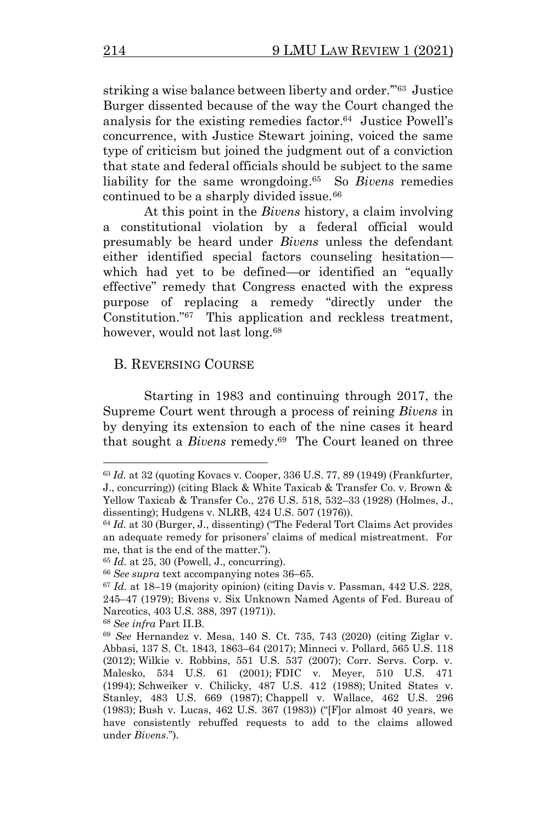striking a wise balance between liberty and order."<sup>63</sup> Justice Burger dissented because of the way the Court changed the analysis for the existing remedies factor. 64 Justice Powell's concurrence, with Justice Stewart joining, voiced the same type of criticism but joined the judgment out of a conviction that state and federal officials should be subject to the same liability for the same wrongdoing. 65 So *Bivens* remedies continued to be a sharply divided issue.<sup>66</sup>

<span id="page-9-0"></span>At this point in the *Bivens* history, a claim involving a constitutional violation by a federal official would presumably be heard under *Bivens* unless the defendant either identified special factors counseling hesitation which had yet to be defined—or identified an "equally effective" remedy that Congress enacted with the express purpose of replacing a remedy "directly under the Constitution."<sup>67</sup> This application and reckless treatment, however, would not last long.<sup>68</sup>

#### B. REVERSING COURSE

Starting in 1983 and continuing through 2017, the Supreme Court went through a process of reining *Bivens* in by denying its extension to each of the nine cases it heard that sought a *Bivens* remedy.<sup>69</sup> The Court leaned on three

<span id="page-9-1"></span><sup>63</sup> *Id.* at 32 (quoting Kovacs v. Cooper, 336 U.S. 77, 89 (1949) (Frankfurter, J., concurring)) (citing Black & White Taxicab & Transfer Co. v. Brown & Yellow Taxicab & Transfer Co., 276 U.S. 518, 532–33 (1928) (Holmes, J., dissenting); Hudgens v. NLRB, 424 U.S. 507 (1976)).

<sup>64</sup> *Id.* at 30 (Burger, J., dissenting) ("The Federal Tort Claims Act provides an adequate remedy for prisoners' claims of medical mistreatment. For me, that is the end of the matter.").

<sup>65</sup> *Id.* at 25, 30 (Powell, J., concurring).

<sup>66</sup> *See supra* text accompanying notes [36](#page-4-0)–[65.](#page-9-0)

<sup>67</sup> *Id.* at 18–19 (majority opinion) (citing Davis v. Passman, 442 U.S. 228, 245–47 (1979); Bivens v. Six Unknown Named Agents of Fed. Bureau of Narcotics, 403 U.S. 388, 397 (1971)).

<sup>68</sup> *See infra* Part II.B.

<sup>69</sup> *See* Hernandez v. Mesa, 140 S. Ct. 735, 743 (2020) (citing Ziglar v. Abbasi, 137 S. Ct. 1843, 1863–64 (2017); Minneci v. Pollard, 565 U.S. 118 (2012); Wilkie v. Robbins, 551 U.S. 537 (2007); Corr. Servs. Corp. v. Malesko, 534 U.S. 61 (2001); FDIC v. Meyer, 510 U.S. 471 (1994); Schweiker v. Chilicky, 487 U.S. 412 (1988); United States v. Stanley, 483 U.S. 669 (1987); Chappell v. Wallace, 462 U.S. 296 (1983); Bush v. Lucas, 462 U.S. 367 (1983)) ("[F]or almost 40 years, we have consistently rebuffed requests to add to the claims allowed under *Bivens*.").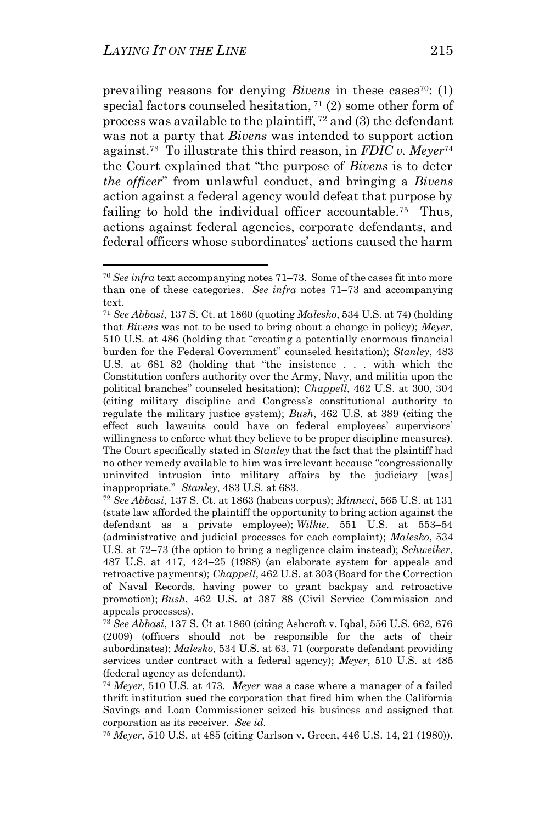<span id="page-10-1"></span><span id="page-10-0"></span>prevailing reasons for denying *Bivens* in these cases<sup>70</sup>: (1) special factors counseled hesitation,  $71$  (2) some other form of process was available to the plaintiff, <sup>72</sup> and (3) the defendant was not a party that *Bivens* was intended to support action against.<sup>73</sup> To illustrate this third reason, in *FDIC v. Meyer*<sup>74</sup> the Court explained that "the purpose of *Bivens* is to deter *the officer*" from unlawful conduct, and bringing a *Bivens*  action against a federal agency would defeat that purpose by failing to hold the individual officer accountable.<sup>75</sup> Thus, actions against federal agencies, corporate defendants, and federal officers whose subordinates' actions caused the harm

<sup>70</sup> *See infra* text accompanying note[s 71](#page-10-0)–[73.](#page-10-1) Some of the cases fit into more than one of these categories. *See infra* notes [71](#page-10-0)–[73](#page-10-1) and accompanying text.

<sup>71</sup> *See Abbasi*, 137 S. Ct. at 1860 (quoting *Malesko*, 534 U.S. at 74) (holding that *Bivens* was not to be used to bring about a change in policy); *Meyer*, 510 U.S. at 486 (holding that "creating a potentially enormous financial burden for the Federal Government" counseled hesitation); *Stanley*, 483 U.S. at 681–82 (holding that "the insistence . . . with which the Constitution confers authority over the Army, Navy, and militia upon the political branches" counseled hesitation); *Chappell*, 462 U.S. at 300, 304 (citing military discipline and Congress's constitutional authority to regulate the military justice system); *Bush*, 462 U.S. at 389 (citing the effect such lawsuits could have on federal employees' supervisors' willingness to enforce what they believe to be proper discipline measures). The Court specifically stated in *Stanley* that the fact that the plaintiff had no other remedy available to him was irrelevant because "congressionally uninvited intrusion into military affairs by the judiciary [was] inappropriate." *Stanley*, 483 U.S. at 683.

<sup>72</sup> *See Abbasi*, 137 S. Ct. at 1863 (habeas corpus); *Minneci*, 565 U.S. at 131 (state law afforded the plaintiff the opportunity to bring action against the defendant as a private employee); *Wilkie*, 551 U.S. at 553–54 (administrative and judicial processes for each complaint); *Malesko*, 534 U.S. at 72–73 (the option to bring a negligence claim instead); *Schweiker*, 487 U.S. at 417, 424–25 (1988) (an elaborate system for appeals and retroactive payments); *Chappell*, 462 U.S. at 303 (Board for the Correction of Naval Records, having power to grant backpay and retroactive promotion); *Bush*, 462 U.S. at 387–88 (Civil Service Commission and appeals processes).

<sup>73</sup> *See Abbasi*, 137 S. Ct at 1860 (citing Ashcroft v. Iqbal, 556 U.S. 662, 676 (2009) (officers should not be responsible for the acts of their subordinates); *Malesko*, 534 U.S. at 63, 71 (corporate defendant providing services under contract with a federal agency); *Meyer*, 510 U.S. at 485 (federal agency as defendant).

<sup>74</sup> *Meyer*, 510 U.S. at 473. *Meyer* was a case where a manager of a failed thrift institution sued the corporation that fired him when the California Savings and Loan Commissioner seized his business and assigned that corporation as its receiver. *See id.*

<sup>75</sup> *Meyer*, 510 U.S. at 485 (citing Carlson v. Green, 446 U.S. 14, 21 (1980)).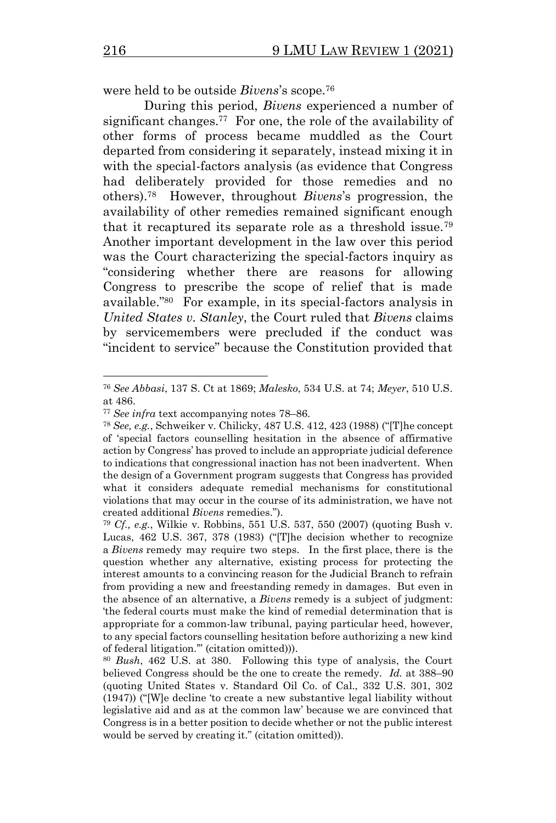were held to be outside *Bivens*'s scope.<sup>76</sup>

<span id="page-11-0"></span>During this period, *Bivens* experienced a number of significant changes.<sup>77</sup> For one, the role of the availability of other forms of process became muddled as the Court departed from considering it separately, instead mixing it in with the special-factors analysis (as evidence that Congress had deliberately provided for those remedies and no others).<sup>78</sup> However, throughout *Bivens*'s progression, the availability of other remedies remained significant enough that it recaptured its separate role as a threshold issue.<sup>79</sup> Another important development in the law over this period was the Court characterizing the special-factors inquiry as "considering whether there are reasons for allowing Congress to prescribe the scope of relief that is made available."<sup>80</sup> For example, in its special-factors analysis in *United States v. Stanley*, the Court ruled that *Bivens* claims by servicemembers were precluded if the conduct was "incident to service" because the Constitution provided that

<span id="page-11-1"></span><sup>76</sup> *See Abbasi*, 137 S. Ct at 1869; *Malesko*, 534 U.S. at 74; *Meyer*, 510 U.S. at 486.

<sup>77</sup> *See infra* text accompanying notes [78](#page-11-0)–[86.](#page-12-0)

<sup>78</sup> *See, e.g.*, Schweiker v. Chilicky, 487 U.S. 412, 423 (1988) ("[T]he concept of 'special factors counselling hesitation in the absence of affirmative action by Congress' has proved to include an appropriate judicial deference to indications that congressional inaction has not been inadvertent. When the design of a Government program suggests that Congress has provided what it considers adequate remedial mechanisms for constitutional violations that may occur in the course of its administration, we have not created additional *Bivens* remedies.").

<sup>79</sup> *Cf., e.g.*, Wilkie v. Robbins, 551 U.S. 537, 550 (2007) (quoting Bush v. Lucas, 462 U.S. 367, 378 (1983) ("[T]he decision whether to recognize a *Bivens* remedy may require two steps. In the first place, there is the question whether any alternative, existing process for protecting the interest amounts to a convincing reason for the Judicial Branch to refrain from providing a new and freestanding remedy in damages. But even in the absence of an alternative, a *Bivens* remedy is a subject of judgment: 'the federal courts must make the kind of remedial determination that is appropriate for a common-law tribunal, paying particular heed, however, to any special factors counselling hesitation before authorizing a new kind of federal litigation.'" (citation omitted))).

<sup>80</sup> *Bush*, 462 U.S. at 380. Following this type of analysis, the Court believed Congress should be the one to create the remedy. *Id.* at 388–90 (quoting United States v. Standard Oil Co. of Cal., 332 U.S. 301, 302 (1947)) ("[W]e decline 'to create a new substantive legal liability without legislative aid and as at the common law' because we are convinced that Congress is in a better position to decide whether or not the public interest would be served by creating it." (citation omitted)).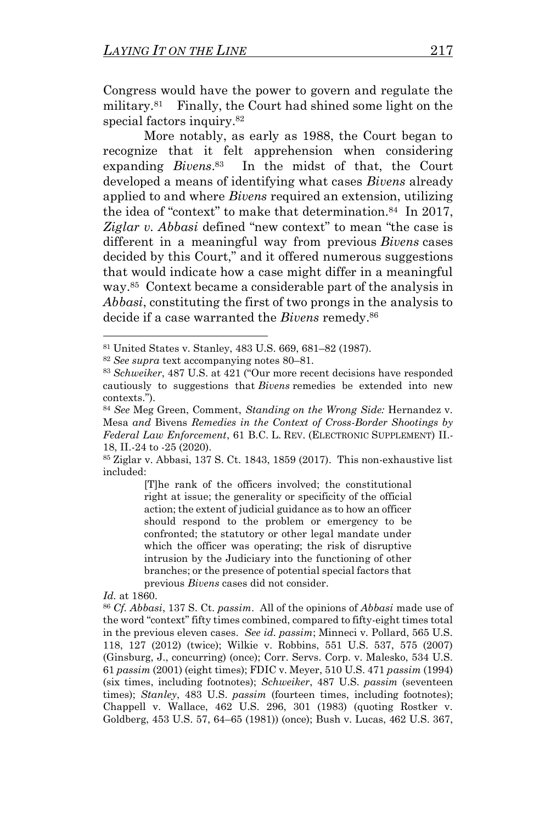<span id="page-12-1"></span>Congress would have the power to govern and regulate the military.<sup>81</sup> Finally, the Court had shined some light on the special factors inquiry.<sup>82</sup>

<span id="page-12-3"></span>More notably, as early as 1988, the Court began to recognize that it felt apprehension when considering expanding *Bivens*. 83 In the midst of that, the Court developed a means of identifying what cases *Bivens* already applied to and where *Bivens* required an extension, utilizing the idea of "context" to make that determination.<sup>84</sup> In 2017, *Ziglar v. Abbasi* defined "new context" to mean "the case is different in a meaningful way from previous *Bivens* cases decided by this Court," and it offered numerous suggestions that would indicate how a case might differ in a meaningful way.<sup>85</sup> Context became a considerable part of the analysis in *Abbasi*, constituting the first of two prongs in the analysis to decide if a case warranted the *Bivens* remedy. 86

[T]he rank of the officers involved; the constitutional right at issue; the generality or specificity of the official action; the extent of judicial guidance as to how an officer should respond to the problem or emergency to be confronted; the statutory or other legal mandate under which the officer was operating; the risk of disruptive intrusion by the Judiciary into the functioning of other branches; or the presence of potential special factors that previous *Bivens* cases did not consider.

*Id.* at 1860.

<span id="page-12-2"></span><span id="page-12-0"></span><sup>81</sup> United States v. Stanley, 483 U.S. 669, 681–82 (1987).

<sup>82</sup> *See supra* text accompanying notes [80](#page-11-1)–[81.](#page-12-1)

<sup>83</sup> *Schweiker*, 487 U.S. at 421 ("Our more recent decisions have responded cautiously to suggestions that *Bivens* remedies be extended into new contexts.").

<sup>84</sup> *See* Meg Green, Comment, *Standing on the Wrong Side:* Hernandez v. Mesa *and* Bivens *Remedies in the Context of Cross-Border Shootings by Federal Law Enforcement*, 61 B.C. L. REV. (ELECTRONIC SUPPLEMENT) II.- 18, II.-24 to -25 (2020).

<sup>85</sup> Ziglar v. Abbasi, 137 S. Ct. 1843, 1859 (2017). This non-exhaustive list included:

<sup>86</sup> *Cf. Abbasi*, 137 S. Ct. *passim*. All of the opinions of *Abbasi* made use of the word "context" fifty times combined, compared to fifty-eight times total in the previous eleven cases. *See id. passim*; Minneci v. Pollard, 565 U.S. 118, 127 (2012) (twice); Wilkie v. Robbins, 551 U.S. 537, 575 (2007) (Ginsburg, J., concurring) (once); Corr. Servs. Corp. v. Malesko, 534 U.S. 61 *passim* (2001) (eight times); FDIC v. Meyer, 510 U.S. 471 *passim* (1994) (six times, including footnotes); *Schweiker*, 487 U.S. *passim* (seventeen times); *Stanley*, 483 U.S. *passim* (fourteen times, including footnotes); Chappell v. Wallace, 462 U.S. 296, 301 (1983) (quoting Rostker v. Goldberg, 453 U.S. 57, 64–65 (1981)) (once); Bush v. Lucas, 462 U.S. 367,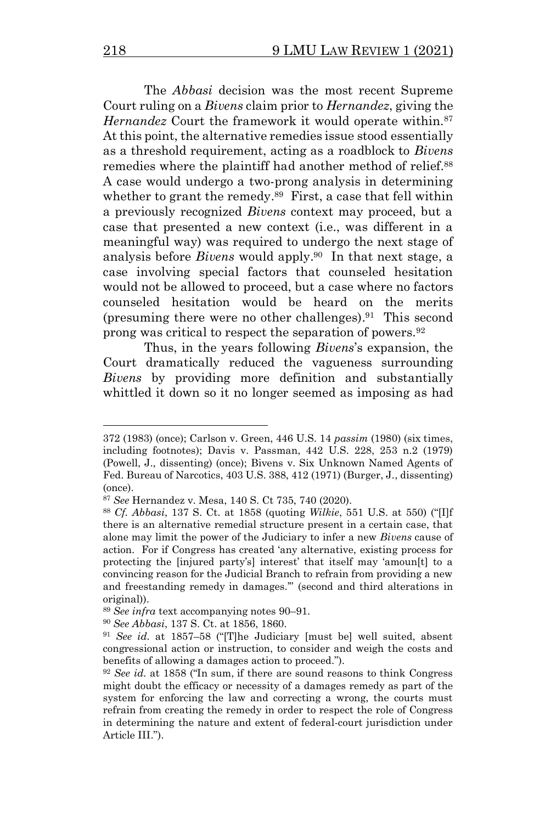<span id="page-13-2"></span>The *Abbasi* decision was the most recent Supreme Court ruling on a *Bivens* claim prior to *Hernandez*, giving the Hernandez Court the framework it would operate within.<sup>87</sup> At this point, the alternative remedies issue stood essentially as a threshold requirement, acting as a roadblock to *Bivens*  remedies where the plaintiff had another method of relief.<sup>88</sup> A case would undergo a two-prong analysis in determining whether to grant the remedy.<sup>89</sup> First, a case that fell within a previously recognized *Bivens* context may proceed, but a case that presented a new context (i.e., was different in a meaningful way) was required to undergo the next stage of analysis before *Bivens* would apply. <sup>90</sup> In that next stage, a case involving special factors that counseled hesitation would not be allowed to proceed, but a case where no factors counseled hesitation would be heard on the merits (presuming there were no other challenges). 91 This second prong was critical to respect the separation of powers.<sup>92</sup>

<span id="page-13-1"></span><span id="page-13-0"></span>Thus, in the years following *Bivens*'s expansion, the Court dramatically reduced the vagueness surrounding *Bivens* by providing more definition and substantially whittled it down so it no longer seemed as imposing as had

<sup>372 (1983)</sup> (once); Carlson v. Green, 446 U.S. 14 *passim* (1980) (six times, including footnotes); Davis v. Passman, 442 U.S. 228, 253 n.2 (1979) (Powell, J., dissenting) (once); Bivens v. Six Unknown Named Agents of Fed. Bureau of Narcotics, 403 U.S. 388, 412 (1971) (Burger, J., dissenting) (once).

<sup>87</sup> *See* Hernandez v. Mesa, 140 S. Ct 735, 740 (2020).

<sup>88</sup> *Cf. Abbasi*, 137 S. Ct. at 1858 (quoting *Wilkie*, 551 U.S. at 550) ("[I]f there is an alternative remedial structure present in a certain case, that alone may limit the power of the Judiciary to infer a new *Bivens* cause of action. For if Congress has created 'any alternative, existing process for protecting the [injured party's] interest' that itself may 'amoun[t] to a convincing reason for the Judicial Branch to refrain from providing a new and freestanding remedy in damages.'" (second and third alterations in original)).

<sup>89</sup> *See infra* text accompanying notes [90](#page-13-0)–[91.](#page-13-1)

<sup>90</sup> *See Abbasi*, 137 S. Ct. at 1856, 1860.

<sup>91</sup> *See id.* at 1857–58 ("[T]he Judiciary [must be] well suited, absent congressional action or instruction, to consider and weigh the costs and benefits of allowing a damages action to proceed.").

<sup>92</sup> *See id.* at 1858 ("In sum, if there are sound reasons to think Congress might doubt the efficacy or necessity of a damages remedy as part of the system for enforcing the law and correcting a wrong, the courts must refrain from creating the remedy in order to respect the role of Congress in determining the nature and extent of federal-court jurisdiction under Article III.").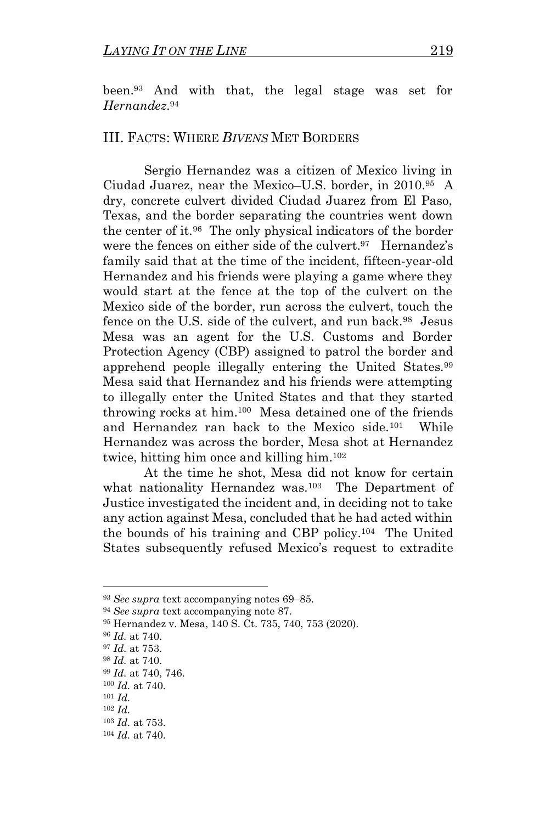been. <sup>93</sup> And with that, the legal stage was set for *Hernandez*. 94

## III. FACTS: WHERE *BIVENS* MET BORDERS

Sergio Hernandez was a citizen of Mexico living in Ciudad Juarez, near the Mexico–U.S. border, in 2010.<sup>95</sup> A dry, concrete culvert divided Ciudad Juarez from El Paso, Texas, and the border separating the countries went down the center of it.<sup>96</sup> The only physical indicators of the border were the fences on either side of the culvert.<sup>97</sup> Hernandez's family said that at the time of the incident, fifteen-year-old Hernandez and his friends were playing a game where they would start at the fence at the top of the culvert on the Mexico side of the border, run across the culvert, touch the fence on the U.S. side of the culvert, and run back.<sup>98</sup> Jesus Mesa was an agent for the U.S. Customs and Border Protection Agency (CBP) assigned to patrol the border and apprehend people illegally entering the United States.<sup>99</sup> Mesa said that Hernandez and his friends were attempting to illegally enter the United States and that they started throwing rocks at him.<sup>100</sup> Mesa detained one of the friends and Hernandez ran back to the Mexico side.<sup>101</sup> While Hernandez was across the border, Mesa shot at Hernandez twice, hitting him once and killing him.<sup>102</sup>

<span id="page-14-0"></span>At the time he shot, Mesa did not know for certain what nationality Hernandez was.<sup>103</sup> The Department of Justice investigated the incident and, in deciding not to take any action against Mesa, concluded that he had acted within the bounds of his training and CBP policy.<sup>104</sup> The United States subsequently refused Mexico's request to extradite

<sup>93</sup> *See supra* text accompanying notes [69](#page-9-1)–[85.](#page-12-2)

<sup>94</sup> *See supra* text accompanying note [87.](#page-13-2)

<sup>95</sup> Hernandez v. Mesa, 140 S. Ct. 735, 740, 753 (2020).

<sup>96</sup> *Id.* at 740.

<sup>97</sup> *Id.* at 753.

<sup>98</sup> *Id.* at 740.

<sup>99</sup> *Id.* at 740, 746.

<sup>100</sup> *Id.* at 740.

<sup>101</sup> *Id.*

<sup>102</sup> *Id.*

<sup>103</sup> *Id.* at 753.

<sup>104</sup> *Id.* at 740.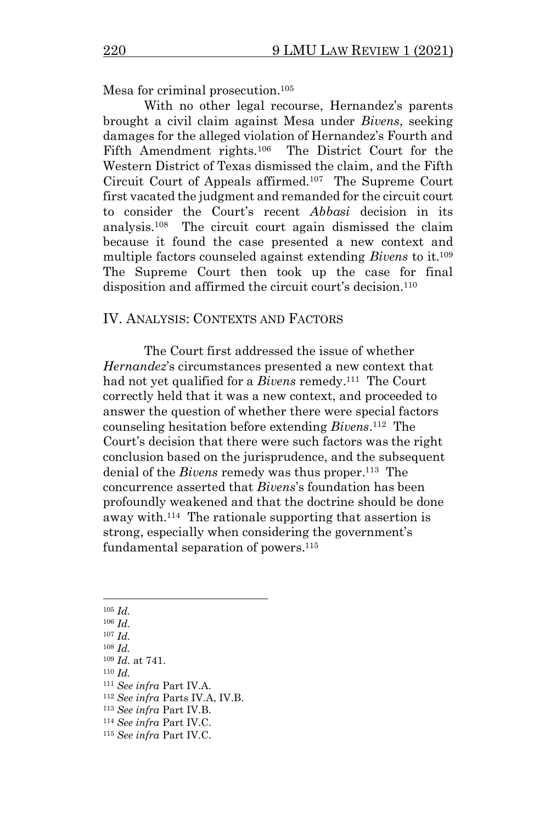<span id="page-15-0"></span>Mesa for criminal prosecution.<sup>105</sup>

With no other legal recourse, Hernandez's parents brought a civil claim against Mesa under *Bivens*, seeking damages for the alleged violation of Hernandez's Fourth and Fifth Amendment rights.<sup>106</sup> The District Court for the Western District of Texas dismissed the claim, and the Fifth Circuit Court of Appeals affirmed.<sup>107</sup> The Supreme Court first vacated the judgment and remanded for the circuit court to consider the Court's recent *Abbasi* decision in its analysis.<sup>108</sup> The circuit court again dismissed the claim because it found the case presented a new context and multiple factors counseled against extending *Bivens* to it. 109 The Supreme Court then took up the case for final disposition and affirmed the circuit court's decision.<sup>110</sup>

## IV. ANALYSIS: CONTEXTS AND FACTORS

The Court first addressed the issue of whether *Hernandez*'s circumstances presented a new context that had not yet qualified for a *Bivens* remedy.<sup>111</sup> The Court correctly held that it was a new context, and proceeded to answer the question of whether there were special factors counseling hesitation before extending *Bivens*. 112 The Court's decision that there were such factors was the right conclusion based on the jurisprudence, and the subsequent denial of the *Bivens* remedy was thus proper.<sup>113</sup> The concurrence asserted that *Bivens*'s foundation has been profoundly weakened and that the doctrine should be done away with.<sup>114</sup> The rationale supporting that assertion is strong, especially when considering the government's fundamental separation of powers. 115

- <sup>105</sup> *Id.*
- <sup>106</sup> *Id.*
- <sup>107</sup> *Id.*
- <sup>108</sup> *Id.*
- <sup>109</sup> *Id.* at 741. <sup>110</sup> *Id.*
- 
- <sup>111</sup> *See infra* Part IV.A.
- <sup>112</sup> *See infra* Parts IV.A, IV.B.
- <sup>113</sup> *See infra* Part IV.B.
- <sup>114</sup> *See infra* Part IV.C. <sup>115</sup> *See infra* Part IV.C.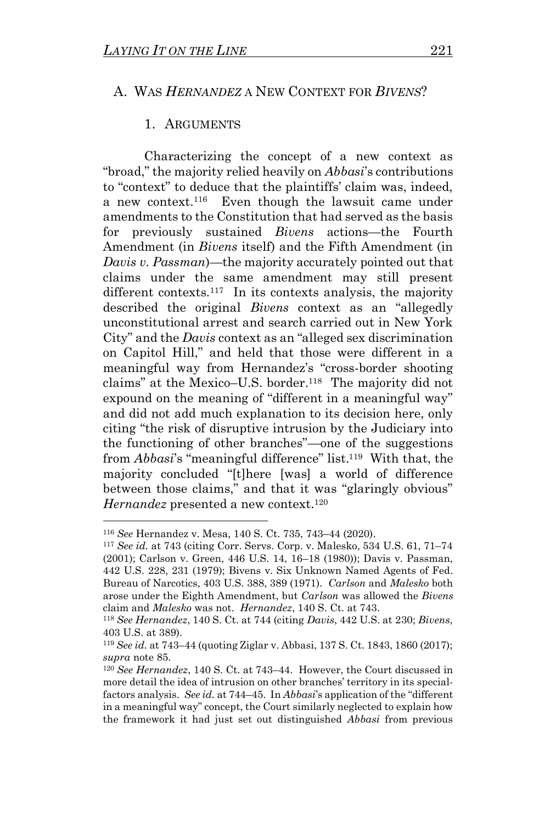#### A. WAS *HERNANDEZ* A NEW CONTEXT FOR *BIVENS*?

#### 1. ARGUMENTS

Characterizing the concept of a new context as "broad," the majority relied heavily on *Abbasi*'s contributions to "context" to deduce that the plaintiffs' claim was, indeed, a new context.<sup>116</sup> Even though the lawsuit came under amendments to the Constitution that had served as the basis for previously sustained *Bivens* actions—the Fourth Amendment (in *Bivens* itself) and the Fifth Amendment (in *Davis v. Passman*)—the majority accurately pointed out that claims under the same amendment may still present different contexts.<sup>117</sup> In its contexts analysis, the majority described the original *Bivens* context as an "allegedly unconstitutional arrest and search carried out in New York City" and the *Davis* context as an "alleged sex discrimination on Capitol Hill," and held that those were different in a meaningful way from Hernandez's "cross-border shooting claims" at the Mexico–U.S. border.<sup>118</sup> The majority did not expound on the meaning of "different in a meaningful way" and did not add much explanation to its decision here, only citing "the risk of disruptive intrusion by the Judiciary into the functioning of other branches"—one of the suggestions from *Abbasi*'s "meaningful difference" list.<sup>119</sup> With that, the majority concluded "[t]here [was] a world of difference between those claims," and that it was "glaringly obvious" *Hernandez* presented a new context.<sup>120</sup>

<sup>116</sup> *See* Hernandez v. Mesa, 140 S. Ct. 735, 743–44 (2020).

<sup>117</sup> *See id.* at 743 (citing Corr. Servs. Corp. v. Malesko, 534 U.S. 61, 71–74 (2001); Carlson v. Green, 446 U.S. 14, 16–18 (1980)); Davis v. Passman, 442 U.S. 228, 231 (1979); Bivens v. Six Unknown Named Agents of Fed. Bureau of Narcotics, 403 U.S. 388, 389 (1971). *Carlson* and *Malesko* both arose under the Eighth Amendment, but *Carlson* was allowed the *Bivens* claim and *Malesko* was not. *Hernandez*, 140 S. Ct. at 743.

<sup>118</sup> *See Hernandez*, 140 S. Ct. at 744 (citing *Davis*, 442 U.S. at 230; *Bivens*, 403 U.S. at 389).

<sup>119</sup> *See id.* at 743–44 (quoting Ziglar v. Abbasi, 137 S. Ct. 1843, 1860 (2017); *supra* note [85.](#page-12-2)

<sup>120</sup> *See Hernandez*, 140 S. Ct. at 743–44. However, the Court discussed in more detail the idea of intrusion on other branches' territory in its specialfactors analysis. *See id.* at 744–45. In *Abbasi*'s application of the "different in a meaningful way" concept, the Court similarly neglected to explain how the framework it had just set out distinguished *Abbasi* from previous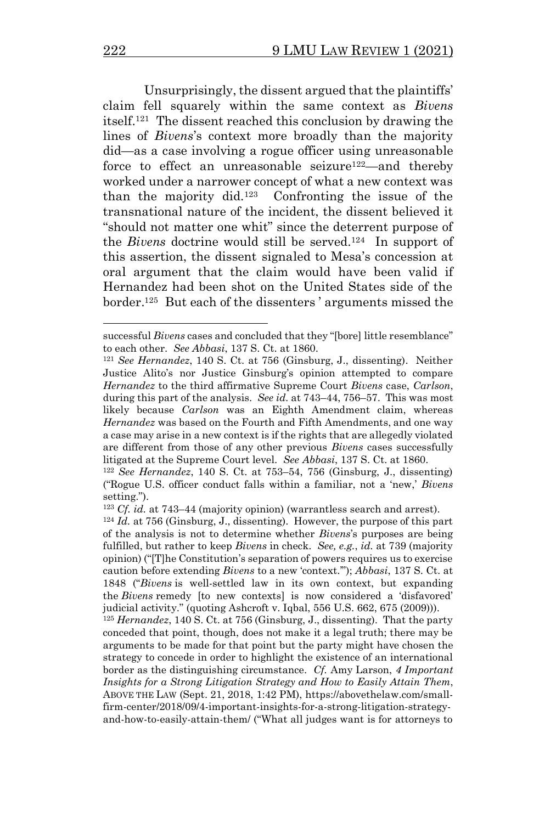Unsurprisingly, the dissent argued that the plaintiffs' claim fell squarely within the same context as *Bivens* itself. 121 The dissent reached this conclusion by drawing the lines of *Bivens*'s context more broadly than the majority did—as a case involving a rogue officer using unreasonable force to effect an unreasonable seizure<sup>122</sup>—and thereby worked under a narrower concept of what a new context was than the majority did. 123 Confronting the issue of the transnational nature of the incident, the dissent believed it "should not matter one whit" since the deterrent purpose of the *Bivens* doctrine would still be served.<sup>124</sup> In support of this assertion, the dissent signaled to Mesa's concession at oral argument that the claim would have been valid if Hernandez had been shot on the United States side of the border.<sup>125</sup> But each of the dissenters ' arguments missed the

successful *Bivens* cases and concluded that they "[bore] little resemblance" to each other. *See Abbasi*, 137 S. Ct. at 1860.

<sup>121</sup> *See Hernandez*, 140 S. Ct. at 756 (Ginsburg, J., dissenting). Neither Justice Alito's nor Justice Ginsburg's opinion attempted to compare *Hernandez* to the third affirmative Supreme Court *Bivens* case, *Carlson*, during this part of the analysis. *See id.* at 743–44, 756–57. This was most likely because *Carlson* was an Eighth Amendment claim, whereas *Hernandez* was based on the Fourth and Fifth Amendments, and one way a case may arise in a new context is if the rights that are allegedly violated are different from those of any other previous *Bivens* cases successfully litigated at the Supreme Court level. *See Abbasi*, 137 S. Ct. at 1860.

<sup>122</sup> *See Hernandez*, 140 S. Ct. at 753–54, 756 (Ginsburg, J., dissenting) ("Rogue U.S. officer conduct falls within a familiar, not a 'new,' *Bivens*  setting.").

<sup>123</sup> *Cf. id.* at 743–44 (majority opinion) (warrantless search and arrest).

<sup>124</sup> *Id.* at 756 (Ginsburg, J., dissenting). However, the purpose of this part of the analysis is not to determine whether *Bivens*'s purposes are being fulfilled, but rather to keep *Bivens* in check. *See, e.g.*, *id.* at 739 (majority opinion) ("[T]he Constitution's separation of powers requires us to exercise caution before extending *Bivens* to a new 'context.'"); *Abbasi*, 137 S. Ct. at 1848 ("*Bivens* is well-settled law in its own context, but expanding the *Bivens* remedy [to new contexts] is now considered a 'disfavored' judicial activity." (quoting Ashcroft v. Iqbal, 556 U.S. 662, 675 (2009))).

<sup>125</sup> *Hernandez*, 140 S. Ct. at 756 (Ginsburg, J., dissenting).That the party conceded that point, though, does not make it a legal truth; there may be arguments to be made for that point but the party might have chosen the strategy to concede in order to highlight the existence of an international border as the distinguishing circumstance. *Cf.* Amy Larson, *4 Important Insights for a Strong Litigation Strategy and How to Easily Attain Them*, ABOVE THE LAW (Sept. 21, 2018, 1:42 PM), https://abovethelaw.com/smallfirm-center/2018/09/4-important-insights-for-a-strong-litigation-strategyand-how-to-easily-attain-them/ ("What all judges want is for attorneys to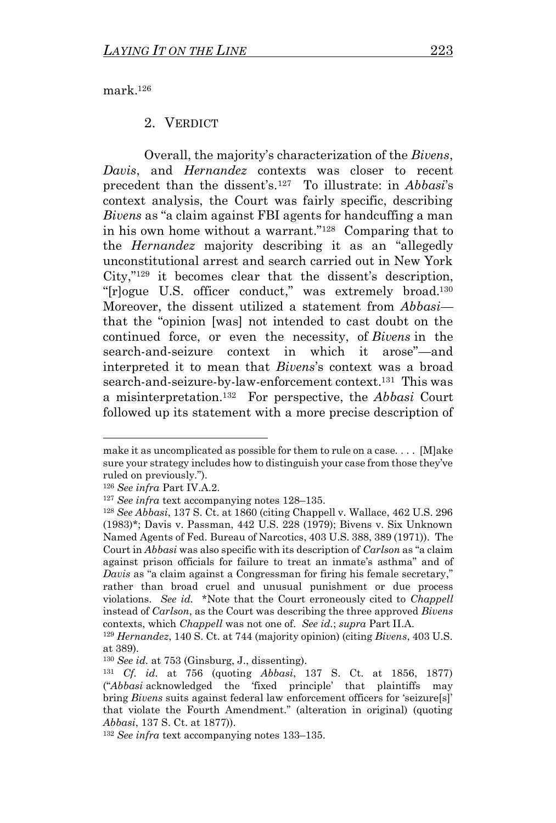mark.<sup>126</sup>

#### <span id="page-18-0"></span>2. VERDICT

Overall, the majority's characterization of the *Bivens*, *Davis*, and *Hernandez* contexts was closer to recent precedent than the dissent's. <sup>127</sup> To illustrate: in *Abbasi*'s context analysis, the Court was fairly specific, describing *Bivens* as "a claim against FBI agents for handcuffing a man in his own home without a warrant." <sup>128</sup> Comparing that to the *Hernandez* majority describing it as an "allegedly unconstitutional arrest and search carried out in New York City," <sup>129</sup> it becomes clear that the dissent's description, "[r]ogue U.S. officer conduct," was extremely broad.<sup>130</sup> Moreover, the dissent utilized a statement from *Abbasi* that the "opinion [was] not intended to cast doubt on the continued force, or even the necessity, of *Bivens* in the search-and-seizure context in which it arose"—and interpreted it to mean that *Bivens*'s context was a broad search-and-seizure-by-law-enforcement context.<sup>131</sup> This was a misinterpretation.<sup>132</sup> For perspective, the *Abbasi* Court followed up its statement with a more precise description of

make it as uncomplicated as possible for them to rule on a case. . . . [M]ake sure your strategy includes how to distinguish your case from those they've ruled on previously.").

<sup>126</sup> *See infra* Part IV.A.2.

<sup>127</sup> *See infra* text accompanying notes [128](#page-18-0)–[135.](#page-19-0)

<sup>128</sup> *See Abbasi*, 137 S. Ct. at 1860 (citing Chappell v. Wallace, 462 U.S. 296 (1983)\*; Davis v. Passman, 442 U.S. 228 (1979); Bivens v. Six Unknown Named Agents of Fed. Bureau of Narcotics, 403 U.S. 388, 389 (1971)). The Court in *Abbasi* was also specific with its description of *Carlson* as "a claim against prison officials for failure to treat an inmate's asthma" and of *Davis* as "a claim against a Congressman for firing his female secretary," rather than broad cruel and unusual punishment or due process violations. *See id.* \*Note that the Court erroneously cited to *Chappell*  instead of *Carlson*, as the Court was describing the three approved *Bivens*  contexts, which *Chappell* was not one of. *See id.*; *supra* Part II.A.

<sup>129</sup> *Hernandez*, 140 S. Ct. at 744 (majority opinion) (citing *Bivens*, 403 U.S. at 389).

<sup>130</sup> *See id.* at 753 (Ginsburg, J., dissenting).

<sup>131</sup> *Cf. id.* at 756 (quoting *Abbasi*, 137 S. Ct. at 1856, 1877) ("*Abbasi* acknowledged the 'fixed principle' that plaintiffs may bring *Bivens* suits against federal law enforcement officers for 'seizure[s]' that violate the Fourth Amendment." (alteration in original) (quoting *Abbasi*, 137 S. Ct. at 1877)).

<sup>132</sup> *See infra* text accompanying notes [133](#page-19-1)–[135.](#page-19-0)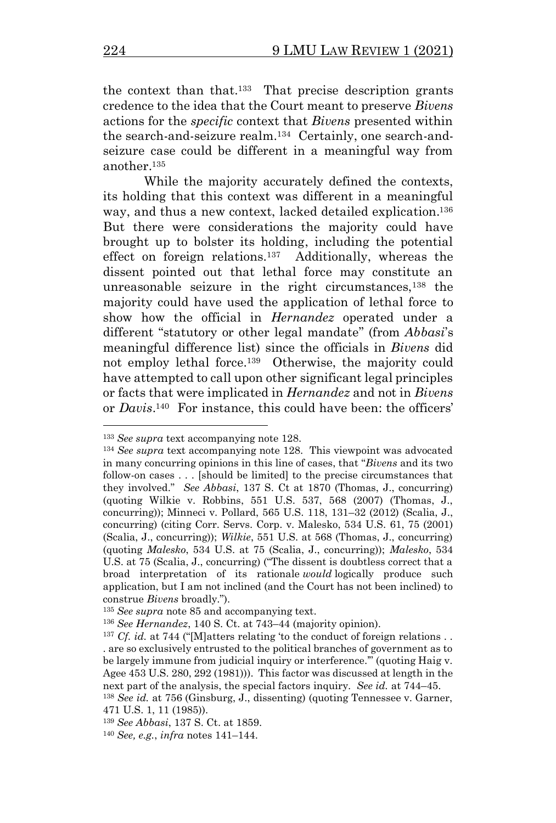<span id="page-19-1"></span>the context than that. <sup>133</sup> That precise description grants credence to the idea that the Court meant to preserve *Bivens*  actions for the *specific* context that *Bivens* presented within the search-and-seizure realm.<sup>134</sup> Certainly, one search-andseizure case could be different in a meaningful way from another.<sup>135</sup>

<span id="page-19-3"></span><span id="page-19-2"></span><span id="page-19-0"></span>While the majority accurately defined the contexts, its holding that this context was different in a meaningful way, and thus a new context, lacked detailed explication. 136 But there were considerations the majority could have brought up to bolster its holding, including the potential effect on foreign relations.<sup>137</sup> Additionally, whereas the dissent pointed out that lethal force may constitute an unreasonable seizure in the right circumstances, $138$  the majority could have used the application of lethal force to show how the official in *Hernandez* operated under a different "statutory or other legal mandate" (from *Abbasi*'s meaningful difference list) since the officials in *Bivens* did not employ lethal force.<sup>139</sup> Otherwise, the majority could have attempted to call upon other significant legal principles or facts that were implicated in *Hernandez* and not in *Bivens* or *Davis*. <sup>140</sup> For instance, this could have been: the officers'

<sup>133</sup> *See supra* text accompanying note [128.](#page-18-0)

<sup>134</sup> *See supra* text accompanying note [128.](#page-18-0) This viewpoint was advocated in many concurring opinions in this line of cases, that "*Bivens* and its two follow-on cases . . . [should be limited] to the precise circumstances that they involved." *See Abbasi*, 137 S. Ct at 1870 (Thomas, J., concurring) (quoting Wilkie v. Robbins, 551 U.S. 537, 568 (2007) (Thomas, J., concurring)); Minneci v. Pollard, 565 U.S. 118, 131–32 (2012) (Scalia, J., concurring) (citing Corr. Servs. Corp. v. Malesko, 534 U.S. 61, 75 (2001) (Scalia, J., concurring)); *Wilkie*, 551 U.S. at 568 (Thomas, J., concurring) (quoting *Malesko*, 534 U.S. at 75 (Scalia, J., concurring)); *Malesko*, 534 U.S. at 75 (Scalia, J., concurring) ("The dissent is doubtless correct that a broad interpretation of its rationale *would* logically produce such application, but I am not inclined (and the Court has not been inclined) to construe *Bivens* broadly.").

<sup>135</sup> *See supra* note [85](#page-12-2) and accompanying text.

<sup>136</sup> *See Hernandez*, 140 S. Ct. at 743–44 (majority opinion).

<sup>&</sup>lt;sup>137</sup> *Cf. id.* at 744 ("[M]atters relating 'to the conduct of foreign relations.. . are so exclusively entrusted to the political branches of government as to be largely immune from judicial inquiry or interference.'" (quoting Haig v. Agee 453 U.S. 280, 292 (1981))). This factor was discussed at length in the next part of the analysis, the special factors inquiry. *See id.* at 744–45. <sup>138</sup> *See id.* at 756 (Ginsburg, J., dissenting) (quoting Tennessee v. Garner,

<sup>471</sup> U.S. 1, 11 (1985)).

<sup>139</sup> *See Abbasi*, 137 S. Ct. at 1859.

<sup>140</sup> *See, e.g.*, *infra* notes [141](#page-20-0)–[144.](#page-20-1)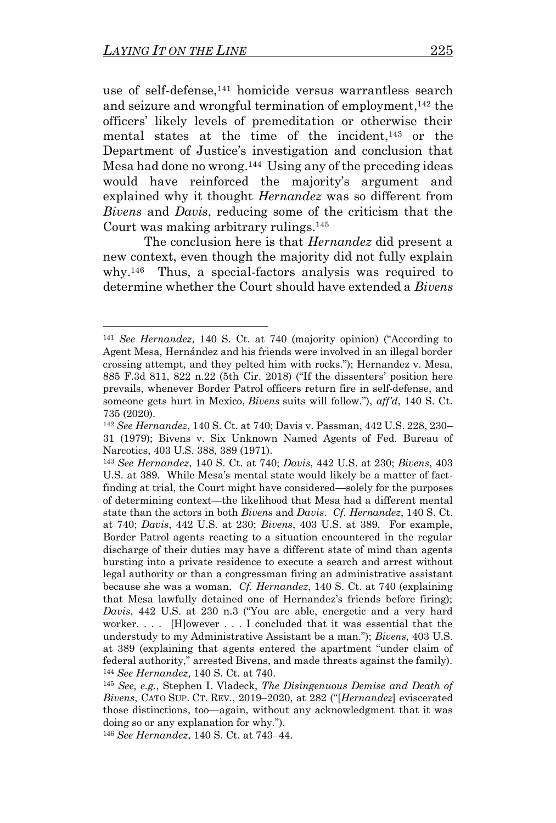<span id="page-20-1"></span><span id="page-20-0"></span>use of self-defense,<sup>141</sup> homicide versus warrantless search and seizure and wrongful termination of employment, <sup>142</sup> the officers' likely levels of premeditation or otherwise their mental states at the time of the incident,<sup>143</sup> or the Department of Justice's investigation and conclusion that Mesa had done no wrong. 144 Using any of the preceding ideas would have reinforced the majority's argument and explained why it thought *Hernandez* was so different from *Bivens* and *Davis*, reducing some of the criticism that the Court was making arbitrary rulings.<sup>145</sup>

<span id="page-20-2"></span>The conclusion here is that *Hernandez* did present a new context, even though the majority did not fully explain why. 146 Thus, a special-factors analysis was required to determine whether the Court should have extended a *Bivens* 

<sup>141</sup> *See Hernandez*, 140 S. Ct. at 740 (majority opinion) ("According to Agent Mesa, Hernández and his friends were involved in an illegal border crossing attempt, and they pelted him with rocks."); Hernandez v. Mesa, 885 F.3d 811, 822 n.22 (5th Cir. 2018) ("If the dissenters' position here prevails, whenever Border Patrol officers return fire in self-defense, and someone gets hurt in Mexico, *Bivens* suits will follow."), *aff'd*, 140 S. Ct. 735 (2020).

<sup>142</sup> *See Hernandez*, 140 S. Ct. at 740; Davis v. Passman, 442 U.S. 228, 230– 31 (1979); Bivens v. Six Unknown Named Agents of Fed. Bureau of Narcotics, 403 U.S. 388, 389 (1971).

<sup>143</sup> *See Hernandez*, 140 S. Ct. at 740; *Davis*, 442 U.S. at 230; *Bivens*, 403 U.S. at 389. While Mesa's mental state would likely be a matter of factfinding at trial, the Court might have considered—solely for the purposes of determining context—the likelihood that Mesa had a different mental state than the actors in both *Bivens* and *Davis*. *Cf. Hernandez*, 140 S. Ct. at 740; *Davis*, 442 U.S. at 230; *Bivens*, 403 U.S. at 389. For example, Border Patrol agents reacting to a situation encountered in the regular discharge of their duties may have a different state of mind than agents bursting into a private residence to execute a search and arrest without legal authority or than a congressman firing an administrative assistant because she was a woman. *Cf. Hernandez*, 140 S. Ct. at 740 (explaining that Mesa lawfully detained one of Hernandez's friends before firing); *Davis*, 442 U.S. at 230 n.3 ("You are able, energetic and a very hard worker. . . . [H]owever . . . I concluded that it was essential that the understudy to my Administrative Assistant be a man."); *Bivens*, 403 U.S. at 389 (explaining that agents entered the apartment "under claim of federal authority," arrested Bivens, and made threats against the family). <sup>144</sup> *See Hernandez*, 140 S. Ct. at 740.

<sup>145</sup> *See, e.g.*, Stephen I. Vladeck, *The Disingenuous Demise and Death of Bivens*, CATO SUP. CT. REV., 2019–2020, at 282 ("[*Hernandez*] eviscerated those distinctions, too—again, without any acknowledgment that it was doing so or any explanation for why.").

<sup>146</sup> *See Hernandez*, 140 S. Ct. at 743–44.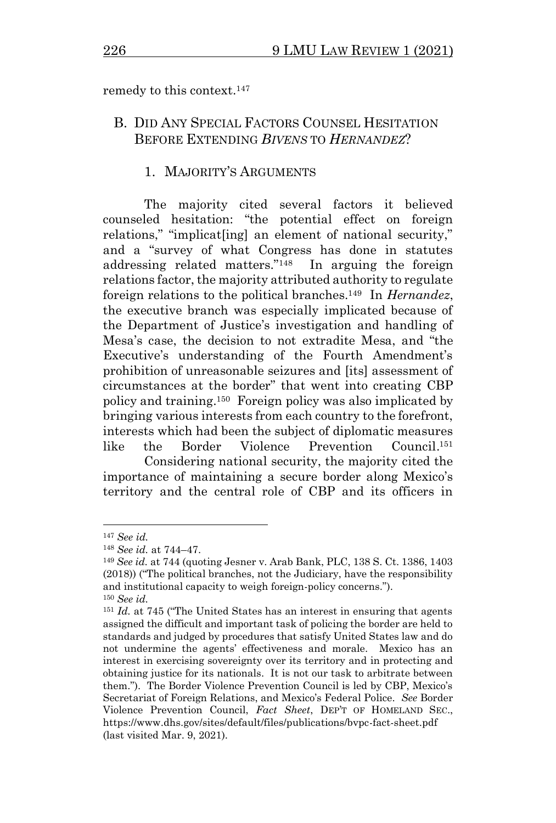remedy to this context.<sup>147</sup>

## B. DID ANY SPECIAL FACTORS COUNSEL HESITATION BEFORE EXTENDING *BIVENS* TO *HERNANDEZ*?

## 1. MAJORITY'S ARGUMENTS

The majority cited several factors it believed counseled hesitation: "the potential effect on foreign relations," "implicat [ing] an element of national security," and a "survey of what Congress has done in statutes addressing related matters."<sup>148</sup> In arguing the foreign relations factor, the majority attributed authority to regulate foreign relations to the political branches.<sup>149</sup> In *Hernandez*, the executive branch was especially implicated because of the Department of Justice's investigation and handling of Mesa's case, the decision to not extradite Mesa, and "the Executive's understanding of the Fourth Amendment's prohibition of unreasonable seizures and [its] assessment of circumstances at the border" that went into creating CBP policy and training.<sup>150</sup> Foreign policy was also implicated by bringing various interests from each country to the forefront, interests which had been the subject of diplomatic measures like the Border Violence Prevention  $Council.$ <sup>151</sup>

Considering national security, the majority cited the importance of maintaining a secure border along Mexico's territory and the central role of CBP and its officers in

<sup>147</sup> *See id.*

<sup>148</sup> *See id.* at 744–47.

<sup>149</sup> *See id.* at 744 (quoting Jesner v. Arab Bank, PLC, 138 S. Ct. 1386, 1403 (2018)) ("The political branches, not the Judiciary, have the responsibility and institutional capacity to weigh foreign-policy concerns."). <sup>150</sup> *See id.*

<sup>151</sup> *Id.* at 745 ("The United States has an interest in ensuring that agents assigned the difficult and important task of policing the border are held to standards and judged by procedures that satisfy United States law and do not undermine the agents' effectiveness and morale. Mexico has an interest in exercising sovereignty over its territory and in protecting and obtaining justice for its nationals. It is not our task to arbitrate between them."). The Border Violence Prevention Council is led by CBP, Mexico's Secretariat of Foreign Relations, and Mexico's Federal Police. *See* Border Violence Prevention Council, *Fact Sheet*, DEP'T OF HOMELAND SEC., https://www.dhs.gov/sites/default/files/publications/bvpc-fact-sheet.pdf (last visited Mar. 9, 2021).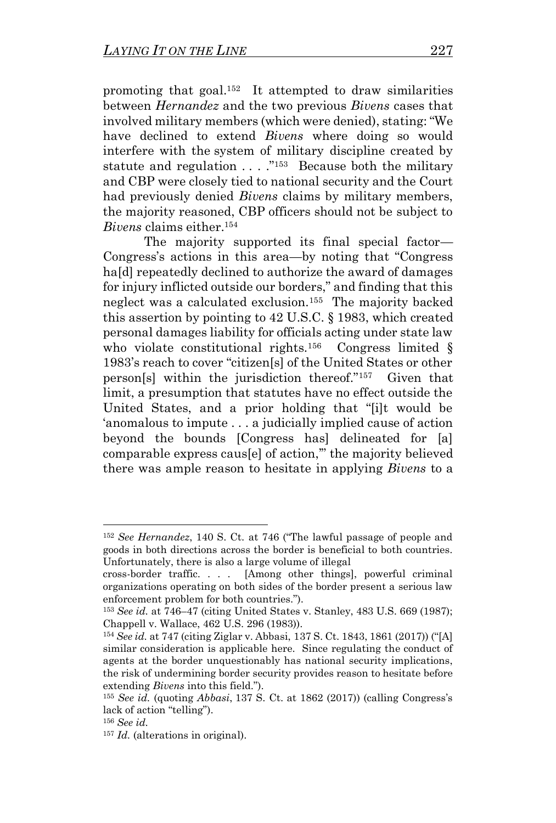promoting that goal.<sup>152</sup> It attempted to draw similarities between *Hernandez* and the two previous *Bivens* cases that involved military members (which were denied), stating: "We have declined to extend *Bivens* where doing so would interfere with the system of military discipline created by statute and regulation . . . . . "<sup>153</sup> Because both the military and CBP were closely tied to national security and the Court had previously denied *Bivens* claims by military members, the majority reasoned, CBP officers should not be subject to *Bivens* claims either.<sup>154</sup>

<span id="page-22-1"></span><span id="page-22-0"></span>The majority supported its final special factor— Congress's actions in this area—by noting that "Congress ha<sup>[d]</sup> repeatedly declined to authorize the award of damages for injury inflicted outside our borders," and finding that this neglect was a calculated exclusion.<sup>155</sup> The majority backed this assertion by pointing to 42 U.S.C. § 1983, which created personal damages liability for officials acting under state law who violate constitutional rights.<sup>156</sup> Congress limited  $\S$ 1983's reach to cover "citizen[s] of the United States or other person[s] within the jurisdiction thereof."<sup>157</sup> Given that limit, a presumption that statutes have no effect outside the United States, and a prior holding that "[i]t would be 'anomalous to impute . . . a judicially implied cause of action beyond the bounds [Congress has] delineated for [a] comparable express caus[e] of action,'" the majority believed there was ample reason to hesitate in applying *Bivens* to a

<sup>152</sup> *See Hernandez*, 140 S. Ct. at 746 ("The lawful passage of people and goods in both directions across the border is beneficial to both countries. Unfortunately, there is also a large volume of illegal

cross-border traffic. . . . [Among other things], powerful criminal organizations operating on both sides of the border present a serious law enforcement problem for both countries.").

<sup>153</sup> *See id.* at 746–47 (citing United States v. Stanley, 483 U.S. 669 (1987); Chappell v. Wallace, 462 U.S. 296 (1983)).

<sup>154</sup> *See id.* at 747 (citing Ziglar v. Abbasi, 137 S. Ct. 1843, 1861 (2017)) ("[A] similar consideration is applicable here. Since regulating the conduct of agents at the border unquestionably has national security implications, the risk of undermining border security provides reason to hesitate before extending *Bivens* into this field.").

<sup>155</sup> *See id.* (quoting *Abbasi*, 137 S. Ct. at 1862 (2017)) (calling Congress's lack of action "telling").

<sup>156</sup> *See id.*

<sup>157</sup> *Id.* (alterations in original).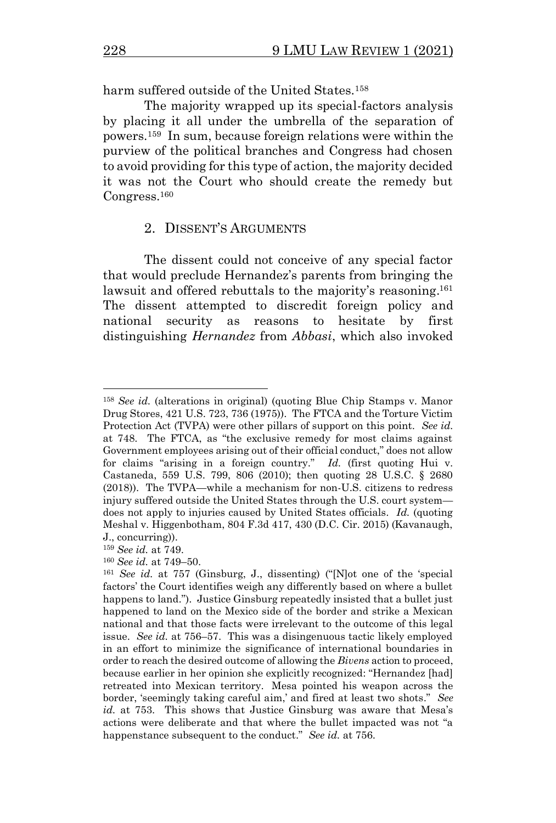harm suffered outside of the United States.<sup>158</sup>

<span id="page-23-0"></span>The majority wrapped up its special-factors analysis by placing it all under the umbrella of the separation of powers.<sup>159</sup> In sum, because foreign relations were within the purview of the political branches and Congress had chosen to avoid providing for this type of action, the majority decided it was not the Court who should create the remedy but Congress.<sup>160</sup>

#### <span id="page-23-1"></span>2. DISSENT'S ARGUMENTS

The dissent could not conceive of any special factor that would preclude Hernandez's parents from bringing the lawsuit and offered rebuttals to the majority's reasoning.<sup>161</sup> The dissent attempted to discredit foreign policy and national security as reasons to hesitate by first distinguishing *Hernandez* from *Abbasi*, which also invoked

<sup>158</sup> *See id.* (alterations in original) (quoting Blue Chip Stamps v. Manor Drug Stores, 421 U.S. 723, 736 (1975)). The FTCA and the Torture Victim Protection Act (TVPA) were other pillars of support on this point. *See id.*  at 748. The FTCA, as "the exclusive remedy for most claims against Government employees arising out of their official conduct," does not allow for claims "arising in a foreign country." *Id.* (first quoting Hui v. Castaneda, 559 U.S. 799, 806 (2010); then quoting 28 U.S.C. § 2680 (2018)). The TVPA—while a mechanism for non-U.S. citizens to redress injury suffered outside the United States through the U.S. court system does not apply to injuries caused by United States officials. *Id.* (quoting Meshal v. Higgenbotham, 804 F.3d 417, 430 (D.C. Cir. 2015) (Kavanaugh, J., concurring)).

<sup>159</sup> *See id.* at 749.

<sup>160</sup> *See id.* at 749–50.

<sup>161</sup> *See id.* at 757 (Ginsburg, J., dissenting) ("[N]ot one of the 'special factors' the Court identifies weigh any differently based on where a bullet happens to land."). Justice Ginsburg repeatedly insisted that a bullet just happened to land on the Mexico side of the border and strike a Mexican national and that those facts were irrelevant to the outcome of this legal issue. *See id.* at 756–57. This was a disingenuous tactic likely employed in an effort to minimize the significance of international boundaries in order to reach the desired outcome of allowing the *Bivens* action to proceed, because earlier in her opinion she explicitly recognized: "Hernandez [had] retreated into Mexican territory. Mesa pointed his weapon across the border, 'seemingly taking careful aim,' and fired at least two shots." *See id.* at 753. This shows that Justice Ginsburg was aware that Mesa's actions were deliberate and that where the bullet impacted was not "a happenstance subsequent to the conduct." *See id.* at 756.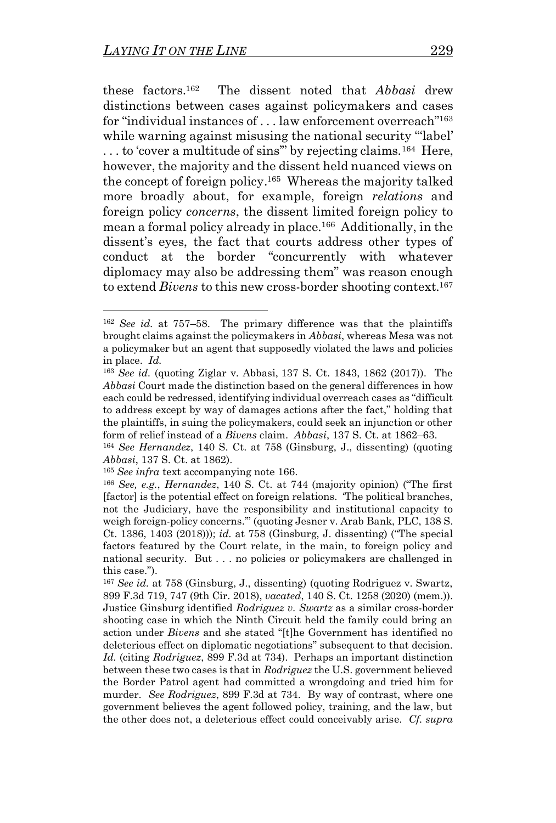these factors.<sup>162</sup> The dissent noted that *Abbasi* drew distinctions between cases against policymakers and cases for "individual instances of . . . law enforcement overreach"<sup>163</sup> while warning against misusing the national security "label" ... to 'cover a multitude of sins" by rejecting claims.<sup>164</sup> Here, however, the majority and the dissent held nuanced views on the concept of foreign policy. <sup>165</sup> Whereas the majority talked more broadly about, for example, foreign *relations* and foreign policy *concerns*, the dissent limited foreign policy to mean a formal policy already in place.<sup>166</sup> Additionally, in the dissent's eyes, the fact that courts address other types of conduct at the border "concurrently with whatever diplomacy may also be addressing them" was reason enough to extend *Bivens* to this new cross-border shooting context.<sup>167</sup>

<span id="page-24-1"></span><span id="page-24-0"></span><sup>162</sup> *See id.* at 757–58. The primary difference was that the plaintiffs brought claims against the policymakers in *Abbasi*, whereas Mesa was not a policymaker but an agent that supposedly violated the laws and policies in place. *Id.*

<sup>163</sup> *See id.* (quoting Ziglar v. Abbasi, 137 S. Ct. 1843, 1862 (2017)). The *Abbasi* Court made the distinction based on the general differences in how each could be redressed, identifying individual overreach cases as "difficult to address except by way of damages actions after the fact," holding that the plaintiffs, in suing the policymakers, could seek an injunction or other form of relief instead of a *Bivens* claim. *Abbasi*, 137 S. Ct. at 1862–63.

<sup>164</sup> *See Hernandez*, 140 S. Ct. at 758 (Ginsburg, J., dissenting) (quoting *Abbasi*, 137 S. Ct. at 1862).

<sup>165</sup> *See infra* text accompanying note [166.](#page-24-0)

<sup>166</sup> *See, e.g.*, *Hernandez*, 140 S. Ct. at 744 (majority opinion) ("The first [factor] is the potential effect on foreign relations. 'The political branches, not the Judiciary, have the responsibility and institutional capacity to weigh foreign-policy concerns.'" (quoting Jesner v. Arab Bank, PLC, 138 S. Ct. 1386, 1403 (2018))); *id.* at 758 (Ginsburg, J. dissenting) ("The special factors featured by the Court relate, in the main, to foreign policy and national security. But . . . no policies or policymakers are challenged in this case.").

<sup>167</sup> *See id.* at 758 (Ginsburg, J., dissenting) (quoting Rodriguez v. Swartz, 899 F.3d 719, 747 (9th Cir. 2018), *vacated*, 140 S. Ct. 1258 (2020) (mem.)). Justice Ginsburg identified *Rodriguez v. Swartz* as a similar cross-border shooting case in which the Ninth Circuit held the family could bring an action under *Bivens* and she stated "[t]he Government has identified no deleterious effect on diplomatic negotiations" subsequent to that decision. *Id.* (citing *Rodriguez*, 899 F.3d at 734). Perhaps an important distinction between these two cases is that in *Rodriguez* the U.S. government believed the Border Patrol agent had committed a wrongdoing and tried him for murder. *See Rodriguez*, 899 F.3d at 734. By way of contrast, where one government believes the agent followed policy, training, and the law, but the other does not, a deleterious effect could conceivably arise. *Cf. supra*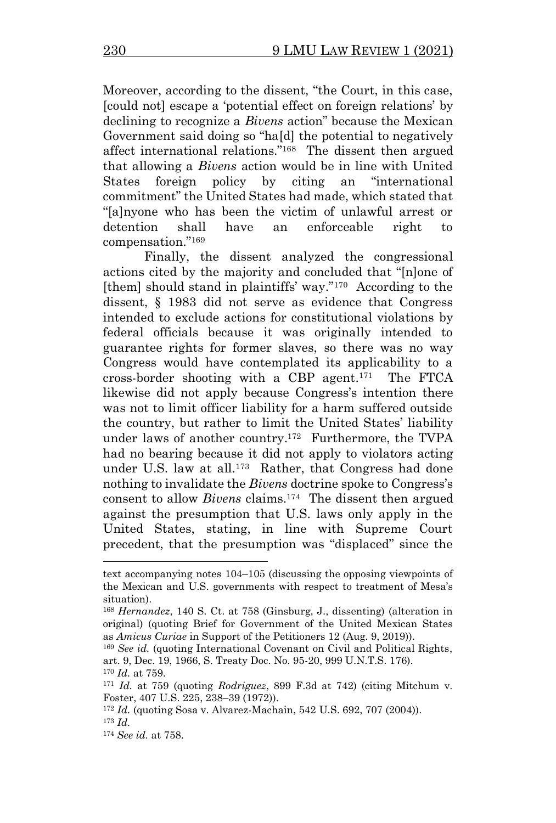Moreover, according to the dissent, "the Court, in this case, [could not] escape a 'potential effect on foreign relations' by declining to recognize a *Bivens* action" because the Mexican Government said doing so "ha[d] the potential to negatively affect international relations."<sup>168</sup> The dissent then argued that allowing a *Bivens* action would be in line with United States foreign policy by citing an "international commitment" the United States had made, which stated that "[a]nyone who has been the victim of unlawful arrest or detention shall have an enforceable right to compensation."<sup>169</sup>

<span id="page-25-0"></span>Finally, the dissent analyzed the congressional actions cited by the majority and concluded that "[n]one of [them] should stand in plaintiffs' way."<sup>170</sup> According to the dissent, § 1983 did not serve as evidence that Congress intended to exclude actions for constitutional violations by federal officials because it was originally intended to guarantee rights for former slaves, so there was no way Congress would have contemplated its applicability to a cross-border shooting with a CBP agent. <sup>171</sup> The FTCA likewise did not apply because Congress's intention there was not to limit officer liability for a harm suffered outside the country, but rather to limit the United States' liability under laws of another country. <sup>172</sup> Furthermore, the TVPA had no bearing because it did not apply to violators acting under U.S. law at all.<sup>173</sup> Rather, that Congress had done nothing to invalidate the *Bivens* doctrine spoke to Congress's consent to allow *Bivens* claims.<sup>174</sup> The dissent then argued against the presumption that U.S. laws only apply in the United States, stating, in line with Supreme Court precedent, that the presumption was "displaced" since the

<span id="page-25-1"></span>text accompanying notes [104](#page-14-0)–[105](#page-15-0) (discussing the opposing viewpoints of the Mexican and U.S. governments with respect to treatment of Mesa's situation).

<sup>168</sup> *Hernandez*, 140 S. Ct. at 758 (Ginsburg, J., dissenting) (alteration in original) (quoting Brief for Government of the United Mexican States as *Amicus Curiae* in Support of the Petitioners 12 (Aug. 9, 2019)).

<sup>169</sup> *See id.* (quoting International Covenant on Civil and Political Rights, art. 9, Dec. 19, 1966, S. Treaty Doc. No. 95-20, 999 U.N.T.S. 176). <sup>170</sup> *Id.* at 759.

<sup>171</sup> *Id.* at 759 (quoting *Rodriguez*, 899 F.3d at 742) (citing Mitchum v. Foster, 407 U.S. 225, 238–39 (1972)).

<sup>172</sup> *Id.* (quoting Sosa v. Alvarez-Machain, 542 U.S. 692, 707 (2004)). <sup>173</sup> *Id.*

<sup>174</sup> *See id.* at 758.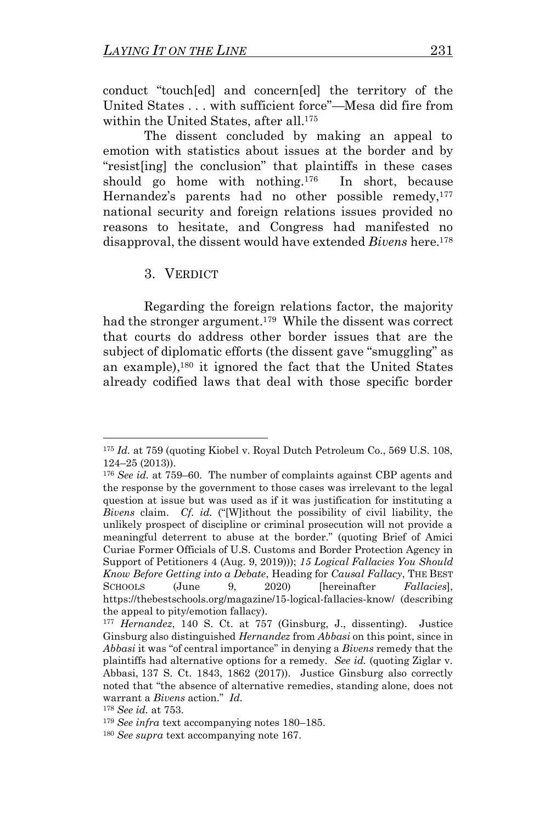conduct "touch[ed] and concern[ed] the territory of the United States . . . with sufficient force"—Mesa did fire from within the United States, after all.<sup>175</sup>

The dissent concluded by making an appeal to emotion with statistics about issues at the border and by "resist[ing] the conclusion" that plaintiffs in these cases should go home with nothing.<sup>176</sup> In short, because Hernandez's parents had no other possible remedy,<sup>177</sup> national security and foreign relations issues provided no reasons to hesitate, and Congress had manifested no disapproval, the dissent would have extended *Bivens* here.<sup>178</sup>

<span id="page-26-1"></span>3. VERDICT

<span id="page-26-0"></span>Regarding the foreign relations factor, the majority had the stronger argument.<sup>179</sup> While the dissent was correct that courts do address other border issues that are the subject of diplomatic efforts (the dissent gave "smuggling" as an example),<sup>180</sup> it ignored the fact that the United States already codified laws that deal with those specific border

<sup>&</sup>lt;sup>175</sup> *Id.* at 759 (quoting Kiobel v. Royal Dutch Petroleum Co., 569 U.S. 108, 124–25 (2013)).

<sup>176</sup> *See id.* at 759–60. The number of complaints against CBP agents and the response by the government to those cases was irrelevant to the legal question at issue but was used as if it was justification for instituting a *Bivens* claim. *Cf. id.* ("[W]ithout the possibility of civil liability, the unlikely prospect of discipline or criminal prosecution will not provide a meaningful deterrent to abuse at the border." (quoting Brief of Amici Curiae Former Officials of U.S. Customs and Border Protection Agency in Support of Petitioners 4 (Aug. 9, 2019))); *15 Logical Fallacies You Should Know Before Getting into a Debate*, Heading for *Causal Fallacy*, THE BEST SCHOOLS (June 9, 2020) [hereinafter *Fallacies*], https://thebestschools.org/magazine/15-logical-fallacies-know/ (describing the appeal to pity/emotion fallacy).

<sup>177</sup> *Hernandez*, 140 S. Ct. at 757 (Ginsburg, J., dissenting). Justice Ginsburg also distinguished *Hernandez* from *Abbasi* on this point, since in *Abbasi* it was "of central importance" in denying a *Bivens* remedy that the plaintiffs had alternative options for a remedy. *See id.* (quoting Ziglar v. Abbasi, 137 S. Ct. 1843, 1862 (2017)). Justice Ginsburg also correctly noted that "the absence of alternative remedies, standing alone, does not warrant a *Bivens* action." *Id.*

<sup>178</sup> *See id.* at 753.

<sup>179</sup> *See infra* text accompanying notes [180](#page-26-0)–[185.](#page-28-0)

<sup>180</sup> *See supra* text accompanying note [167.](#page-24-1)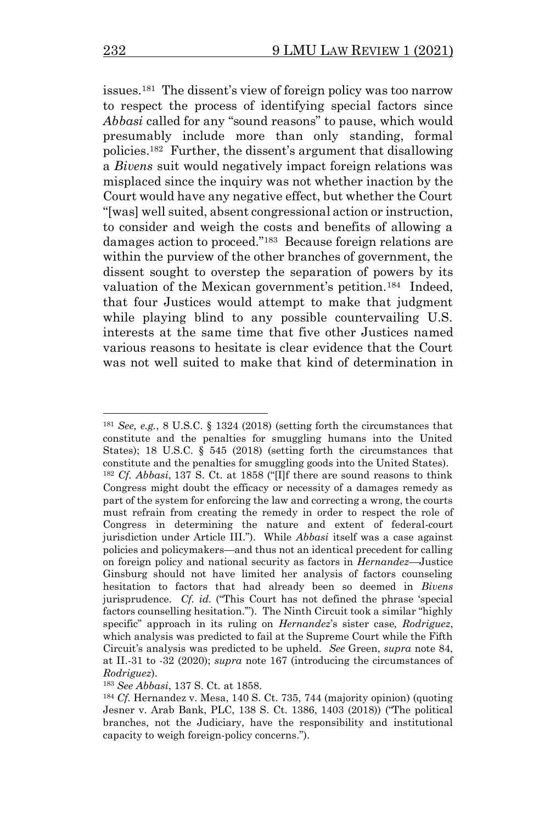issues. 181 The dissent's view of foreign policy was too narrow to respect the process of identifying special factors since *Abbasi* called for any "sound reasons" to pause, which would presumably include more than only standing, formal policies. 182 Further, the dissent's argument that disallowing a *Bivens* suit would negatively impact foreign relations was misplaced since the inquiry was not whether inaction by the Court would have any negative effect, but whether the Court "[was] well suited, absent congressional action or instruction, to consider and weigh the costs and benefits of allowing a damages action to proceed."<sup>183</sup> Because foreign relations are within the purview of the other branches of government, the dissent sought to overstep the separation of powers by its valuation of the Mexican government's petition.<sup>184</sup> Indeed, that four Justices would attempt to make that judgment while playing blind to any possible countervailing U.S. interests at the same time that five other Justices named various reasons to hesitate is clear evidence that the Court was not well suited to make that kind of determination in

<sup>181</sup> *See, e.g.*, 8 U.S.C. § 1324 (2018) (setting forth the circumstances that constitute and the penalties for smuggling humans into the United States); 18 U.S.C. § 545 (2018) (setting forth the circumstances that constitute and the penalties for smuggling goods into the United States). <sup>182</sup> *Cf. Abbasi*, 137 S. Ct. at 1858 ("[I]f there are sound reasons to think Congress might doubt the efficacy or necessity of a damages remedy as part of the system for enforcing the law and correcting a wrong, the courts must refrain from creating the remedy in order to respect the role of Congress in determining the nature and extent of federal-court jurisdiction under Article III."). While *Abbasi* itself was a case against policies and policymakers—and thus not an identical precedent for calling on foreign policy and national security as factors in *Hernandez*—Justice Ginsburg should not have limited her analysis of factors counseling hesitation to factors that had already been so deemed in *Bivens* jurisprudence. *Cf. id.* ("This Court has not defined the phrase 'special factors counselling hesitation.'"). The Ninth Circuit took a similar "highly specific" approach in its ruling on *Hernandez*'s sister case, *Rodriguez*, which analysis was predicted to fail at the Supreme Court while the Fifth Circuit's analysis was predicted to be upheld. *See* Green, *supra* note [84,](#page-12-3) at II.-31 to -32 (2020); *supra* note [167](#page-24-1) (introducing the circumstances of *Rodriguez*).

<sup>183</sup> *See Abbasi*, 137 S. Ct*.* at 1858.

<sup>184</sup> *Cf.* Hernandez v. Mesa, 140 S. Ct. 735, 744 (majority opinion) (quoting Jesner v. Arab Bank, PLC, 138 S. Ct. 1386, 1403 (2018)) ("The political branches, not the Judiciary, have the responsibility and institutional capacity to weigh foreign-policy concerns.").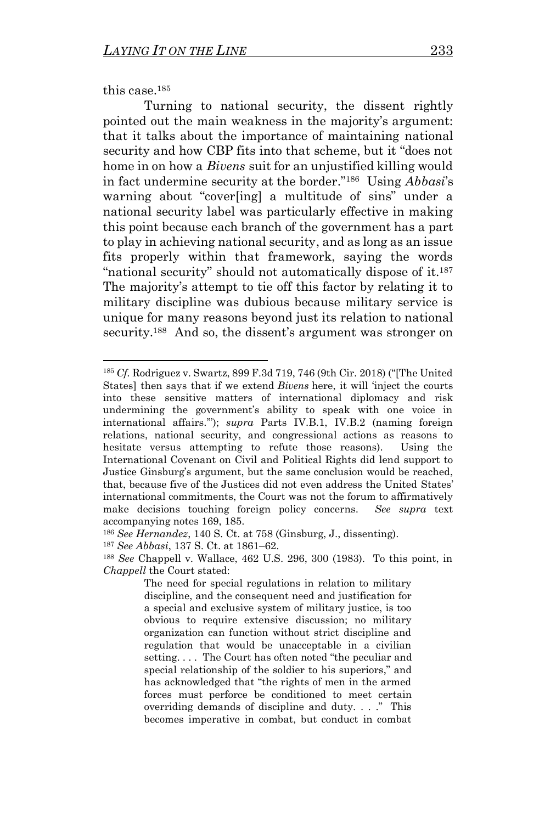<span id="page-28-0"></span>this case.<sup>185</sup>

<span id="page-28-1"></span>Turning to national security, the dissent rightly pointed out the main weakness in the majority's argument: that it talks about the importance of maintaining national security and how CBP fits into that scheme, but it "does not home in on how a *Bivens* suit for an unjustified killing would in fact undermine security at the border."<sup>186</sup> Using *Abbasi*'s warning about "cover[ing] a multitude of sins" under a national security label was particularly effective in making this point because each branch of the government has a part to play in achieving national security, and as long as an issue fits properly within that framework, saying the words "national security" should not automatically dispose of it.<sup>187</sup> The majority's attempt to tie off this factor by relating it to military discipline was dubious because military service is unique for many reasons beyond just its relation to national security.<sup>188</sup> And so, the dissent's argument was stronger on

<span id="page-28-2"></span><sup>185</sup> *Cf.* Rodriguez v. Swartz, 899 F.3d 719, 746 (9th Cir. 2018) ("[The United States] then says that if we extend *Bivens* here, it will 'inject the courts into these sensitive matters of international diplomacy and risk undermining the government's ability to speak with one voice in international affairs.'"); *supra* Parts IV.B.1, IV.B.2 (naming foreign relations, national security, and congressional actions as reasons to hesitate versus attempting to refute those reasons). Using the International Covenant on Civil and Political Rights did lend support to Justice Ginsburg's argument, but the same conclusion would be reached, that, because five of the Justices did not even address the United States' international commitments, the Court was not the forum to affirmatively make decisions touching foreign policy concerns. *See supra* text accompanying notes [169,](#page-25-0) [185.](#page-28-0)

<sup>186</sup> *See Hernandez*, 140 S. Ct. at 758 (Ginsburg, J., dissenting).

<sup>187</sup> *See Abbasi*, 137 S. Ct. at 1861–62.

<sup>188</sup> *See* Chappell v. Wallace, 462 U.S. 296, 300 (1983). To this point, in *Chappell* the Court stated:

The need for special regulations in relation to military discipline, and the consequent need and justification for a special and exclusive system of military justice, is too obvious to require extensive discussion; no military organization can function without strict discipline and regulation that would be unacceptable in a civilian setting. . . . The Court has often noted "the peculiar and special relationship of the soldier to his superiors," and has acknowledged that "the rights of men in the armed forces must perforce be conditioned to meet certain overriding demands of discipline and duty. . . ." This becomes imperative in combat, but conduct in combat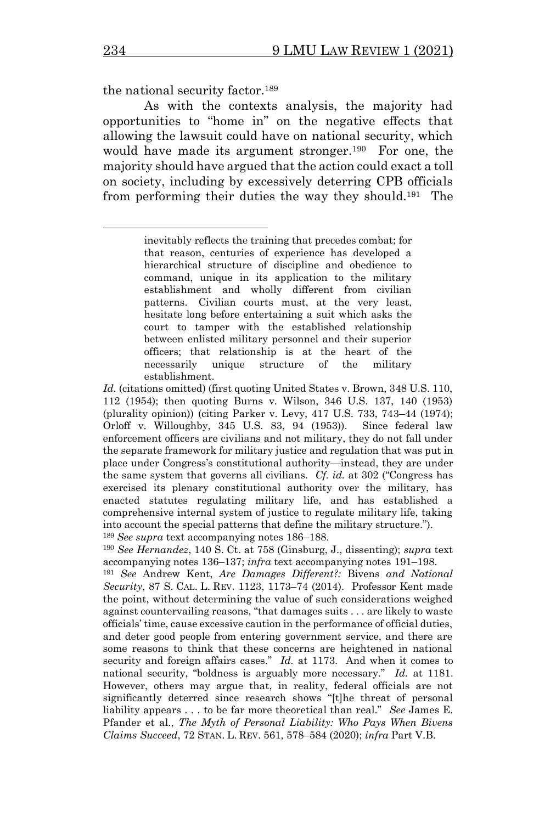the national security factor.<sup>189</sup>

As with the contexts analysis, the majority had opportunities to "home in" on the negative effects that allowing the lawsuit could have on national security, which would have made its argument stronger.<sup>190</sup> For one, the majority should have argued that the action could exact a toll on society, including by excessively deterring CPB officials from performing their duties the way they should.<sup>191</sup> The

<span id="page-29-1"></span><span id="page-29-0"></span>inevitably reflects the training that precedes combat; for that reason, centuries of experience has developed a hierarchical structure of discipline and obedience to command, unique in its application to the military establishment and wholly different from civilian patterns. Civilian courts must, at the very least, hesitate long before entertaining a suit which asks the court to tamper with the established relationship between enlisted military personnel and their superior officers; that relationship is at the heart of the necessarily unique structure of the military establishment.

*Id.* (citations omitted) (first quoting United States v. Brown, 348 U.S. 110, 112 (1954); then quoting Burns v. Wilson, 346 U.S. 137, 140 (1953) (plurality opinion)) (citing Parker v. Levy, 417 U.S. 733, 743–44 (1974); Orloff v. Willoughby, 345 U.S. 83, 94 (1953)). Since federal law enforcement officers are civilians and not military, they do not fall under the separate framework for military justice and regulation that was put in place under Congress's constitutional authority—instead, they are under the same system that governs all civilians. *Cf. id.* at 302 ("Congress has exercised its plenary constitutional authority over the military, has enacted statutes regulating military life, and has established a comprehensive internal system of justice to regulate military life, taking into account the special patterns that define the military structure."). <sup>189</sup> *See supra* text accompanying notes [186](#page-28-1)–[188.](#page-28-2)

<sup>190</sup> *See Hernandez*, 140 S. Ct. at 758 (Ginsburg, J., dissenting); *supra* text accompanying notes [136](#page-19-2)–[137;](#page-19-3) *infra* text accompanying note[s 191](#page-29-0)–[198.](#page-30-0)

<sup>191</sup> *See* Andrew Kent, *Are Damages Different?:* Bivens *and National Security*, 87 S. CAL. L. REV. 1123, 1173–74 (2014). Professor Kent made the point, without determining the value of such considerations weighed against countervailing reasons, "that damages suits . . . are likely to waste officials' time, cause excessive caution in the performance of official duties, and deter good people from entering government service, and there are some reasons to think that these concerns are heightened in national security and foreign affairs cases." *Id.* at 1173. And when it comes to national security, "boldness is arguably more necessary." *Id.* at 1181. However, others may argue that, in reality, federal officials are not significantly deterred since research shows "[t]he threat of personal liability appears . . . to be far more theoretical than real." *See* James E. Pfander et al., *The Myth of Personal Liability: Who Pays When Bivens Claims Succeed*, 72 STAN. L. REV. 561, 578–584 (2020); *infra* Part V.B.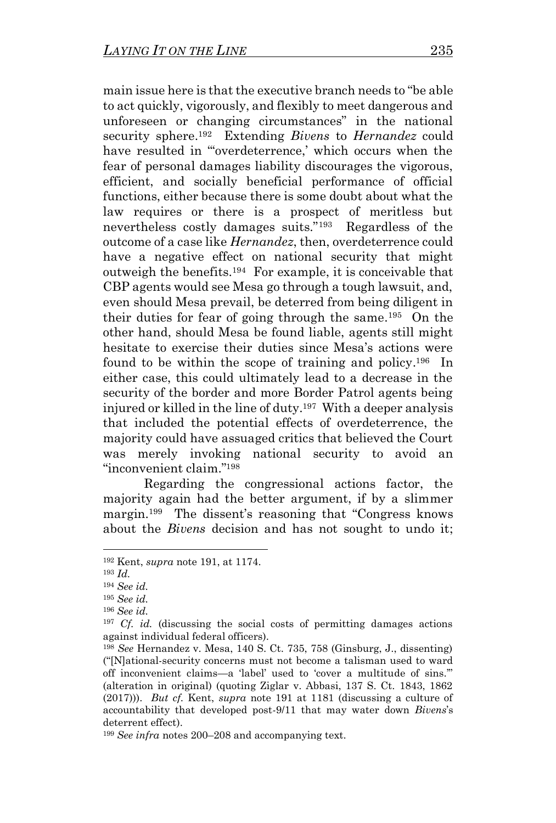main issue here is that the executive branch needs to "be able to act quickly, vigorously, and flexibly to meet dangerous and unforeseen or changing circumstances" in the national security sphere. <sup>192</sup> Extending *Bivens* to *Hernandez* could have resulted in ""overdeterrence,' which occurs when the fear of personal damages liability discourages the vigorous, efficient, and socially beneficial performance of official functions, either because there is some doubt about what the law requires or there is a prospect of meritless but nevertheless costly damages suits."<sup>193</sup> Regardless of the outcome of a case like *Hernandez*, then, overdeterrence could have a negative effect on national security that might outweigh the benefits.<sup>194</sup> For example, it is conceivable that CBP agents would see Mesa go through a tough lawsuit, and, even should Mesa prevail, be deterred from being diligent in their duties for fear of going through the same. <sup>195</sup> On the other hand, should Mesa be found liable, agents still might hesitate to exercise their duties since Mesa's actions were found to be within the scope of training and policy.<sup>196</sup> In either case, this could ultimately lead to a decrease in the security of the border and more Border Patrol agents being injured or killed in the line of duty.<sup>197</sup> With a deeper analysis that included the potential effects of overdeterrence, the majority could have assuaged critics that believed the Court was merely invoking national security to avoid an "inconvenient claim." 198

<span id="page-30-0"></span>Regarding the congressional actions factor, the majority again had the better argument, if by a slimmer margin.<sup>199</sup> The dissent's reasoning that "Congress knows about the *Bivens* decision and has not sought to undo it;

<sup>192</sup> Kent, *supra* note [191,](#page-29-0) at 1174.

<sup>193</sup> *Id.*

<sup>194</sup> *See id.*

<sup>195</sup> *See id.*

<sup>196</sup> *See id.*

<sup>&</sup>lt;sup>197</sup> *Cf. id.* (discussing the social costs of permitting damages actions against individual federal officers).

<sup>198</sup> *See* Hernandez v. Mesa, 140 S. Ct. 735, 758 (Ginsburg, J., dissenting) ("[N]ational-security concerns must not become a talisman used to ward off inconvenient claims—a 'label' used to 'cover a multitude of sins.'" (alteration in original) (quoting Ziglar v. Abbasi, 137 S. Ct. 1843, 1862 (2017))). *But cf.* Kent, *supra* note [191](#page-29-0) at 1181 (discussing a culture of accountability that developed post-9/11 that may water down *Bivens*'s deterrent effect).

<sup>199</sup> *See infra* notes [200](#page-31-0)–[208](#page-32-0) and accompanying text.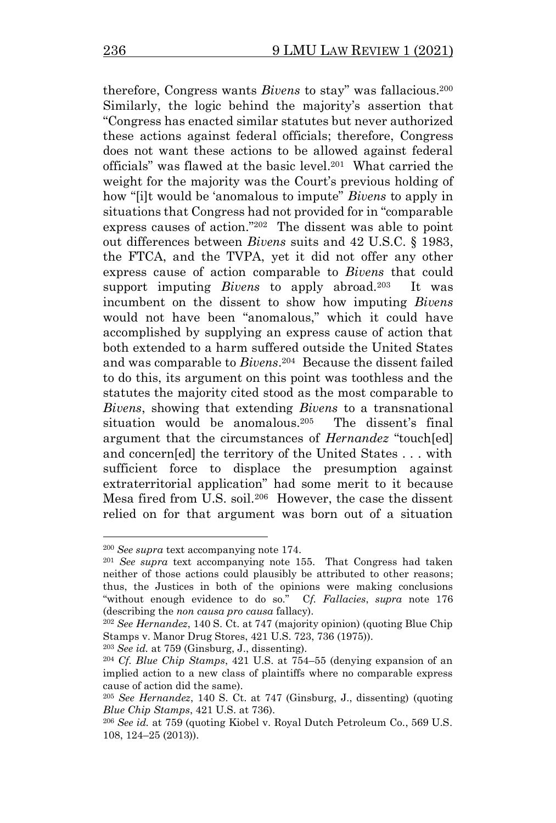<span id="page-31-0"></span>therefore, Congress wants *Bivens* to stay" was fallacious.<sup>200</sup> Similarly, the logic behind the majority's assertion that "Congress has enacted similar statutes but never authorized these actions against federal officials; therefore, Congress does not want these actions to be allowed against federal officials" was flawed at the basic level. 201 What carried the weight for the majority was the Court's previous holding of how "[i]t would be 'anomalous to impute" *Bivens* to apply in situations that Congress had not provided for in "comparable express causes of action."<sup>202</sup> The dissent was able to point out differences between *Bivens* suits and 42 U.S.C. § 1983, the FTCA, and the TVPA, yet it did not offer any other express cause of action comparable to *Bivens* that could support imputing *Bivens* to apply abroad.<sup>203</sup> It was incumbent on the dissent to show how imputing *Bivens*  would not have been "anomalous," which it could have accomplished by supplying an express cause of action that both extended to a harm suffered outside the United States and was comparable to *Bivens*. 204 Because the dissent failed to do this, its argument on this point was toothless and the statutes the majority cited stood as the most comparable to *Bivens*, showing that extending *Bivens* to a transnational situation would be anomalous.<sup>205</sup> The dissent's final argument that the circumstances of *Hernandez* "touch[ed] and concern[ed] the territory of the United States . . . with sufficient force to displace the presumption against extraterritorial application" had some merit to it because Mesa fired from U.S. soil.<sup>206</sup> However, the case the dissent relied on for that argument was born out of a situation

<sup>200</sup> *See supra* text accompanying note [174.](#page-25-1)

<sup>201</sup> *See supra* text accompanying note [155.](#page-22-0) That Congress had taken neither of those actions could plausibly be attributed to other reasons; thus, the Justices in both of the opinions were making conclusions "without enough evidence to do so." C*f. Fallacies*, *supra* note [176](#page-26-1) (describing the *non causa pro causa* fallacy).

<sup>202</sup> *See Hernandez*, 140 S. Ct. at 747 (majority opinion) (quoting Blue Chip Stamps v. Manor Drug Stores, 421 U.S. 723, 736 (1975)).

<sup>203</sup> *See id.* at 759 (Ginsburg, J., dissenting).

<sup>204</sup> *Cf. Blue Chip Stamps*, 421 U.S. at 754–55 (denying expansion of an implied action to a new class of plaintiffs where no comparable express cause of action did the same).

<sup>205</sup> *See Hernandez*, 140 S. Ct. at 747 (Ginsburg, J., dissenting) (quoting *Blue Chip Stamps*, 421 U.S. at 736).

<sup>206</sup> *See id.* at 759 (quoting Kiobel v. Royal Dutch Petroleum Co., 569 U.S. 108, 124–25 (2013)).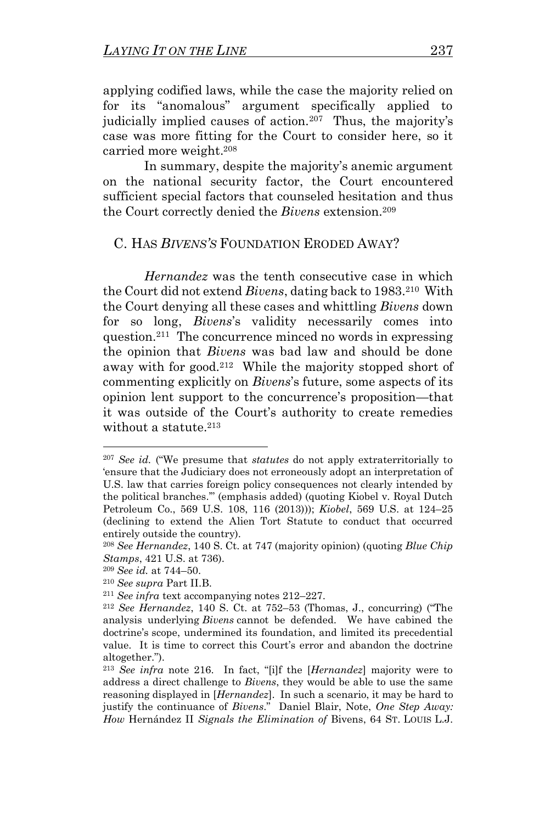applying codified laws, while the case the majority relied on for its "anomalous" argument specifically applied to judicially implied causes of action.<sup>207</sup> Thus, the majority's case was more fitting for the Court to consider here, so it carried more weight.<sup>208</sup>

<span id="page-32-0"></span>In summary, despite the majority's anemic argument on the national security factor, the Court encountered sufficient special factors that counseled hesitation and thus the Court correctly denied the *Bivens* extension.<sup>209</sup>

## C. HAS *BIVENS'S* FOUNDATION ERODED AWAY?

<span id="page-32-1"></span>*Hernandez* was the tenth consecutive case in which the Court did not extend *Bivens*, dating back to 1983.<sup>210</sup> With the Court denying all these cases and whittling *Bivens* down for so long, *Bivens*'s validity necessarily comes into question.<sup>211</sup> The concurrence minced no words in expressing the opinion that *Bivens* was bad law and should be done away with for good.<sup>212</sup> While the majority stopped short of commenting explicitly on *Bivens*'s future, some aspects of its opinion lent support to the concurrence's proposition—that it was outside of the Court's authority to create remedies without a statute. 213

<span id="page-32-2"></span><sup>207</sup> *See id.* ("We presume that *statutes* do not apply extraterritorially to 'ensure that the Judiciary does not erroneously adopt an interpretation of U.S. law that carries foreign policy consequences not clearly intended by the political branches.'" (emphasis added) (quoting Kiobel v. Royal Dutch Petroleum Co., 569 U.S. 108, 116 (2013))); *Kiobel*, 569 U.S. at 124–25 (declining to extend the Alien Tort Statute to conduct that occurred entirely outside the country).

<sup>208</sup> *See Hernandez*, 140 S. Ct. at 747 (majority opinion) (quoting *Blue Chip Stamps*, 421 U.S. at 736).

<sup>209</sup> *See id.* at 744–50.

<sup>210</sup> *See supra* Part II.B.

<sup>211</sup> *See infra* text accompanying notes [212](#page-32-1)–[227.](#page-35-0)

<sup>212</sup> *See Hernandez*, 140 S. Ct. at 752–53 (Thomas, J., concurring) ("The analysis underlying *Bivens* cannot be defended. We have cabined the doctrine's scope, undermined its foundation, and limited its precedential value. It is time to correct this Court's error and abandon the doctrine altogether.").

<sup>213</sup> *See infra* note [216.](#page-33-0) In fact, "[i]f the [*Hernandez*] majority were to address a direct challenge to *Bivens*, they would be able to use the same reasoning displayed in [*Hernandez*]. In such a scenario, it may be hard to justify the continuance of *Bivens*." Daniel Blair, Note, *One Step Away: How* Hernández II *Signals the Elimination of* Bivens, 64 ST. LOUIS L.J.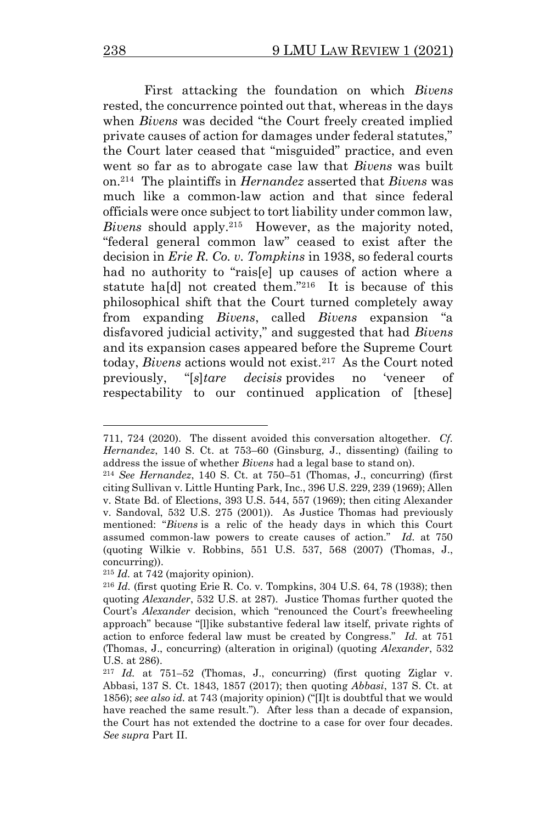First attacking the foundation on which *Bivens*  rested, the concurrence pointed out that, whereas in the days when *Bivens* was decided "the Court freely created implied private causes of action for damages under federal statutes," the Court later ceased that "misguided" practice, and even went so far as to abrogate case law that *Bivens* was built on.<sup>214</sup> The plaintiffs in *Hernandez* asserted that *Bivens* was much like a common-law action and that since federal officials were once subject to tort liability under common law, *Bivens* should apply.<sup>215</sup> However, as the majority noted, "federal general common law" ceased to exist after the decision in *Erie R. Co. v. Tompkins* in 1938, so federal courts had no authority to "rais[e] up causes of action where a statute hald not created them."<sup>216</sup> It is because of this philosophical shift that the Court turned completely away from expanding *Bivens*, called *Bivens* expansion "a disfavored judicial activity," and suggested that had *Bivens*  and its expansion cases appeared before the Supreme Court today, *Bivens* actions would not exist.<sup>217</sup> As the Court noted previously, "[*s*]*tare decisis* provides no 'veneer of respectability to our continued application of [these]

<span id="page-33-0"></span><sup>711, 724 (2020).</sup> The dissent avoided this conversation altogether. *Cf. Hernandez*, 140 S. Ct. at 753–60 (Ginsburg, J., dissenting) (failing to address the issue of whether *Bivens* had a legal base to stand on).

<sup>214</sup> *See Hernandez*, 140 S. Ct. at 750–51 (Thomas, J., concurring) (first citing Sullivan v. Little Hunting Park, Inc., 396 U.S. 229, 239 (1969); Allen v. State Bd. of Elections, 393 U.S. 544, 557 (1969); then citing Alexander v. Sandoval, 532 U.S. 275 (2001)). As Justice Thomas had previously mentioned: "*Bivens* is a relic of the heady days in which this Court assumed common-law powers to create causes of action." *Id.* at 750 (quoting Wilkie v. Robbins, 551 U.S. 537, 568 (2007) (Thomas, J., concurring)).

<sup>215</sup> *Id.* at 742 (majority opinion).

<sup>216</sup> *Id.* (first quoting Erie R. Co. v. Tompkins, 304 U.S. 64, 78 (1938); then quoting *Alexander*, 532 U.S. at 287). Justice Thomas further quoted the Court's *Alexander* decision, which "renounced the Court's freewheeling approach" because "[l]ike substantive federal law itself, private rights of action to enforce federal law must be created by Congress." *Id.* at 751 (Thomas, J., concurring) (alteration in original) (quoting *Alexander*, 532 U.S. at 286).

<sup>217</sup> *Id.* at 751–52 (Thomas, J., concurring) (first quoting Ziglar v. Abbasi, 137 S. Ct. 1843, 1857 (2017); then quoting *Abbasi*, 137 S. Ct. at 1856); *see also id.* at 743 (majority opinion) ("[I]t is doubtful that we would have reached the same result."). After less than a decade of expansion, the Court has not extended the doctrine to a case for over four decades. *See supra* Part II.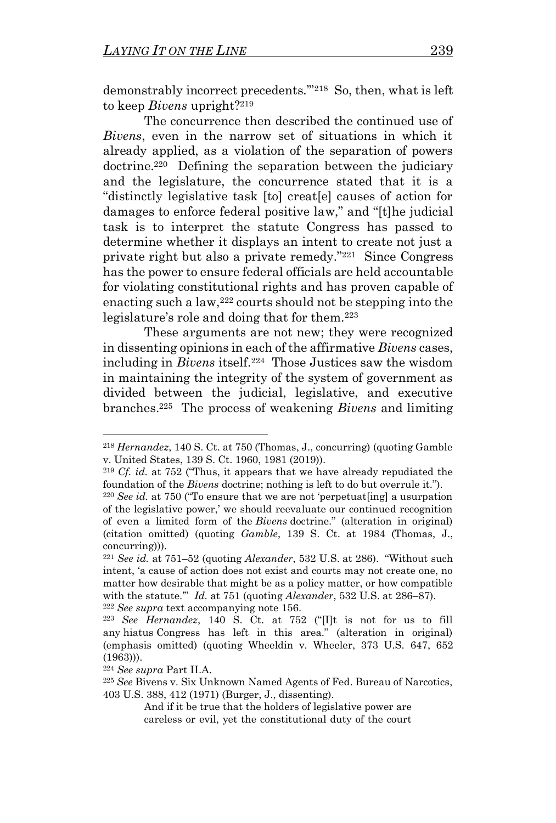demonstrably incorrect precedents.'"<sup>218</sup> So, then, what is left to keep *Bivens* upright?<sup>219</sup>

The concurrence then described the continued use of *Bivens*, even in the narrow set of situations in which it already applied, as a violation of the separation of powers doctrine.<sup>220</sup> Defining the separation between the judiciary and the legislature, the concurrence stated that it is a "distinctly legislative task [to] creat[e] causes of action for damages to enforce federal positive law," and "[t]he judicial task is to interpret the statute Congress has passed to determine whether it displays an intent to create not just a private right but also a private remedy."<sup>221</sup> Since Congress has the power to ensure federal officials are held accountable for violating constitutional rights and has proven capable of enacting such a law,  $222$  courts should not be stepping into the legislature's role and doing that for them.<sup>223</sup>

These arguments are not new; they were recognized in dissenting opinions in each of the affirmative *Bivens* cases, including in *Bivens* itself.<sup>224</sup> Those Justices saw the wisdom in maintaining the integrity of the system of government as divided between the judicial, legislative, and executive branches. 225 The process of weakening *Bivens* and limiting

<sup>218</sup> *Hernandez*, 140 S. Ct. at 750 (Thomas, J., concurring) (quoting Gamble v. United States, 139 S. Ct. 1960, 1981 (2019)).

<sup>219</sup> *Cf. id.* at 752 ("Thus, it appears that we have already repudiated the foundation of the *Bivens* doctrine; nothing is left to do but overrule it.").

<sup>220</sup> *See id.* at 750 ("To ensure that we are not 'perpetuat[ing] a usurpation of the legislative power,' we should reevaluate our continued recognition of even a limited form of the *Bivens* doctrine." (alteration in original) (citation omitted) (quoting *Gamble*, 139 S. Ct. at 1984 (Thomas, J., concurring))).

<sup>221</sup> *See id.* at 751–52 (quoting *Alexander*, 532 U.S. at 286). "Without such intent, 'a cause of action does not exist and courts may not create one, no matter how desirable that might be as a policy matter, or how compatible with the statute.'" *Id.* at 751 (quoting *Alexander*, 532 U.S. at 286–87). <sup>222</sup> *See supra* text accompanying note [156.](#page-22-1)

<sup>223</sup> *See Hernandez*, 140 S. Ct. at 752 ("[I]t is not for us to fill any hiatus Congress has left in this area." (alteration in original) (emphasis omitted) (quoting Wheeldin v. Wheeler, 373 U.S. 647, 652 (1963))).

<sup>224</sup> *See supra* Part II.A.

<sup>225</sup> *See* Bivens v. Six Unknown Named Agents of Fed. Bureau of Narcotics, 403 U.S. 388, 412 (1971) (Burger, J., dissenting).

And if it be true that the holders of legislative power are careless or evil, yet the constitutional duty of the court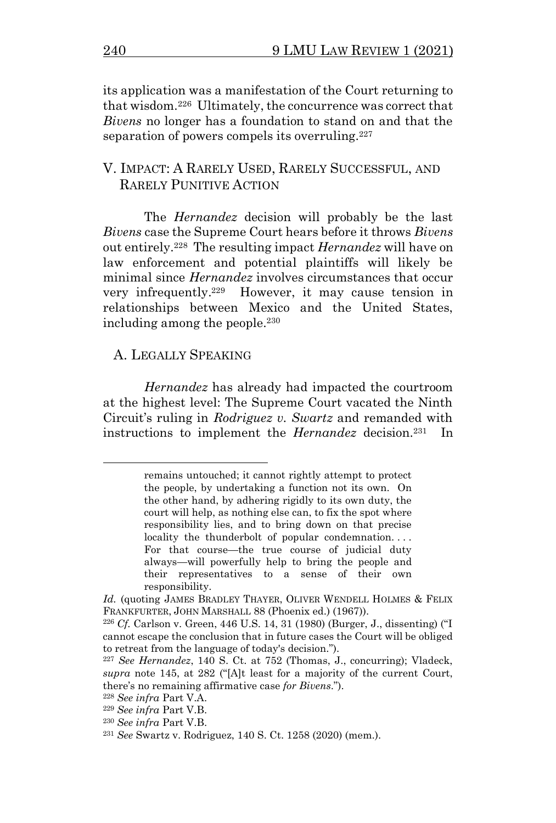its application was a manifestation of the Court returning to that wisdom.<sup>226</sup> Ultimately, the concurrence was correct that *Bivens* no longer has a foundation to stand on and that the separation of powers compels its overruling.<sup>227</sup>

## <span id="page-35-0"></span>V. IMPACT: A RARELY USED, RARELY SUCCESSFUL, AND RARELY PUNITIVE ACTION

The *Hernandez* decision will probably be the last *Bivens* case the Supreme Court hears before it throws *Bivens*  out entirely.<sup>228</sup> The resulting impact *Hernandez* will have on law enforcement and potential plaintiffs will likely be minimal since *Hernandez* involves circumstances that occur very infrequently. <sup>229</sup> However, it may cause tension in relationships between Mexico and the United States, including among the people.<sup>230</sup>

#### A. LEGALLY SPEAKING

*Hernandez* has already had impacted the courtroom at the highest level: The Supreme Court vacated the Ninth Circuit's ruling in *Rodriguez v. Swartz* and remanded with instructions to implement the *Hernandez* decision.<sup>231</sup> In

remains untouched; it cannot rightly attempt to protect the people, by undertaking a function not its own. On the other hand, by adhering rigidly to its own duty, the court will help, as nothing else can, to fix the spot where responsibility lies, and to bring down on that precise locality the thunderbolt of popular condemnation... For that course—the true course of judicial duty always—will powerfully help to bring the people and their representatives to a sense of their own responsibility.

Id. (quoting JAMES BRADLEY THAYER, OLIVER WENDELL HOLMES & FELIX FRANKFURTER, JOHN MARSHALL 88 (Phoenix ed.) (1967)).

<sup>226</sup> *Cf.* Carlson v. Green, 446 U.S. 14, 31 (1980) (Burger, J., dissenting) ("I cannot escape the conclusion that in future cases the Court will be obliged to retreat from the language of today's decision.").

<sup>227</sup> *See Hernandez*, 140 S. Ct. at 752 (Thomas, J., concurring); Vladeck, *supra* note [145,](#page-20-2) at 282 ("[A]t least for a majority of the current Court, there's no remaining affirmative case *for Bivens*.").

<sup>228</sup> *See infra* Part V.A.

<sup>229</sup> *See infra* Part V.B.

<sup>230</sup> *See infra* Part V.B.

<sup>231</sup> *See* Swartz v. Rodriguez, 140 S. Ct. 1258 (2020) (mem.).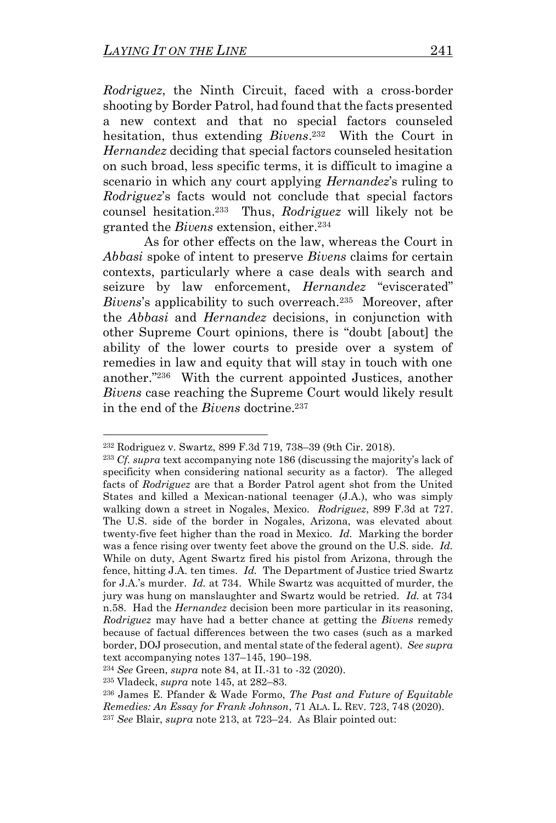*Rodriguez*, the Ninth Circuit, faced with a cross-border shooting by Border Patrol, had found that the facts presented a new context and that no special factors counseled hesitation, thus extending *Bivens*. 232 With the Court in *Hernandez* deciding that special factors counseled hesitation on such broad, less specific terms, it is difficult to imagine a scenario in which any court applying *Hernandez*'s ruling to *Rodriguez*'s facts would not conclude that special factors counsel hesitation. <sup>233</sup> Thus, *Rodriguez* will likely not be granted the *Bivens* extension, either. 234

As for other effects on the law, whereas the Court in *Abbasi* spoke of intent to preserve *Bivens* claims for certain contexts, particularly where a case deals with search and seizure by law enforcement, *Hernandez* "eviscerated" *Bivens*'s applicability to such overreach.<sup>235</sup> Moreover, after the *Abbasi* and *Hernandez* decisions, in conjunction with other Supreme Court opinions, there is "doubt [about] the ability of the lower courts to preside over a system of remedies in law and equity that will stay in touch with one another."<sup>236</sup> With the current appointed Justices, another *Bivens* case reaching the Supreme Court would likely result in the end of the *Bivens* doctrine.<sup>237</sup>

<sup>232</sup> Rodriguez v. Swartz, 899 F.3d 719, 738–39 (9th Cir. 2018).

<sup>233</sup> *Cf. supra* text accompanying note [186](#page-28-1) (discussing the majority's lack of specificity when considering national security as a factor). The alleged facts of *Rodriguez* are that a Border Patrol agent shot from the United States and killed a Mexican-national teenager (J.A.), who was simply walking down a street in Nogales, Mexico. *Rodriguez*, 899 F.3d at 727. The U.S. side of the border in Nogales, Arizona, was elevated about twenty-five feet higher than the road in Mexico. *Id.* Marking the border was a fence rising over twenty feet above the ground on the U.S. side. *Id.*  While on duty, Agent Swartz fired his pistol from Arizona, through the fence, hitting J.A. ten times. *Id.* The Department of Justice tried Swartz for J.A.'s murder. *Id.* at 734. While Swartz was acquitted of murder, the jury was hung on manslaughter and Swartz would be retried. *Id.* at 734 n.58. Had the *Hernandez* decision been more particular in its reasoning, *Rodriguez* may have had a better chance at getting the *Bivens* remedy because of factual differences between the two cases (such as a marked border, DOJ prosecution, and mental state of the federal agent). *See supra*  text accompanying notes [137](#page-19-3)–[145,](#page-20-2) [190](#page-29-1)–[198.](#page-30-0)

<sup>234</sup> *See* Green, *supra* note [84,](#page-12-3) at II.-31 to -32 (2020).

<sup>235</sup> Vladeck, *supra* not[e 145,](#page-20-2) at 282–83.

<sup>236</sup> James E. Pfander & Wade Formo, *The Past and Future of Equitable Remedies: An Essay for Frank Johnson*, 71 ALA. L. REV. 723, 748 (2020). <sup>237</sup> *See* Blair, *supra* note [213,](#page-32-2) at 723–24. As Blair pointed out: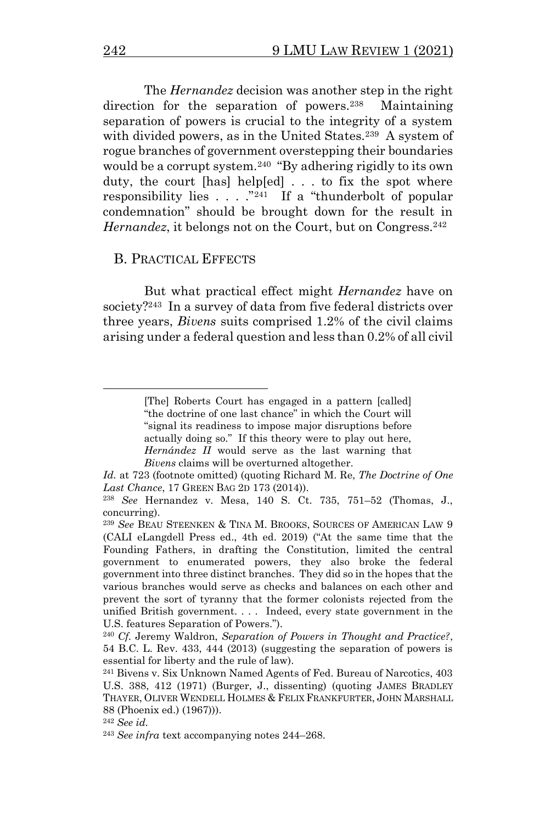<span id="page-37-1"></span><span id="page-37-0"></span>The *Hernandez* decision was another step in the right direction for the separation of powers.<sup>238</sup> Maintaining separation of powers is crucial to the integrity of a system with divided powers, as in the United States.<sup>239</sup> A system of rogue branches of government overstepping their boundaries would be a corrupt system.<sup>240</sup> "By adhering rigidly to its own duty, the court [has] help[ed] . . . to fix the spot where responsibility lies  $\ldots$   $\overset{3241}{\ldots}$  If a "thunderbolt of popular" condemnation" should be brought down for the result in *Hernandez*, it belongs not on the Court, but on Congress.<sup>242</sup>

#### <span id="page-37-2"></span>B. PRACTICAL EFFECTS

But what practical effect might *Hernandez* have on society?<sup>243</sup> In a survey of data from five federal districts over three years, *Bivens* suits comprised 1.2% of the civil claims arising under a federal question and less than 0.2% of all civil

<sup>[</sup>The] Roberts Court has engaged in a pattern [called] "the doctrine of one last chance" in which the Court will "signal its readiness to impose major disruptions before actually doing so." If this theory were to play out here, *Hernández II* would serve as the last warning that *Bivens* claims will be overturned altogether.

*Id.* at 723 (footnote omitted) (quoting Richard M. Re, *The Doctrine of One Last Chance*, 17 GREEN BAG 2D 173 (2014)).

<sup>238</sup> *See* Hernandez v. Mesa, 140 S. Ct. 735, 751–52 (Thomas, J., concurring).

<sup>239</sup> *See* BEAU STEENKEN & TINA M. BROOKS, SOURCES OF AMERICAN LAW 9 (CALI eLangdell Press ed., 4th ed. 2019) ("At the same time that the Founding Fathers, in drafting the Constitution, limited the central government to enumerated powers, they also broke the federal government into three distinct branches. They did so in the hopes that the various branches would serve as checks and balances on each other and prevent the sort of tyranny that the former colonists rejected from the unified British government. . . . Indeed, every state government in the U.S. features Separation of Powers.").

<sup>240</sup> *Cf.* Jeremy Waldron, *Separation of Powers in Thought and Practice?*, 54 B.C. L. Rev. 433, 444 (2013) (suggesting the separation of powers is essential for liberty and the rule of law).

<sup>241</sup> Bivens v. Six Unknown Named Agents of Fed. Bureau of Narcotics, 403 U.S. 388, 412 (1971) (Burger, J., dissenting) (quoting JAMES BRADLEY THAYER, OLIVER WENDELL HOLMES & FELIX FRANKFURTER, JOHN MARSHALL 88 (Phoenix ed.) (1967))).

<sup>242</sup> *See id.*

<sup>243</sup> *See infra* text accompanying notes [244](#page-38-0)–[268.](#page-42-0)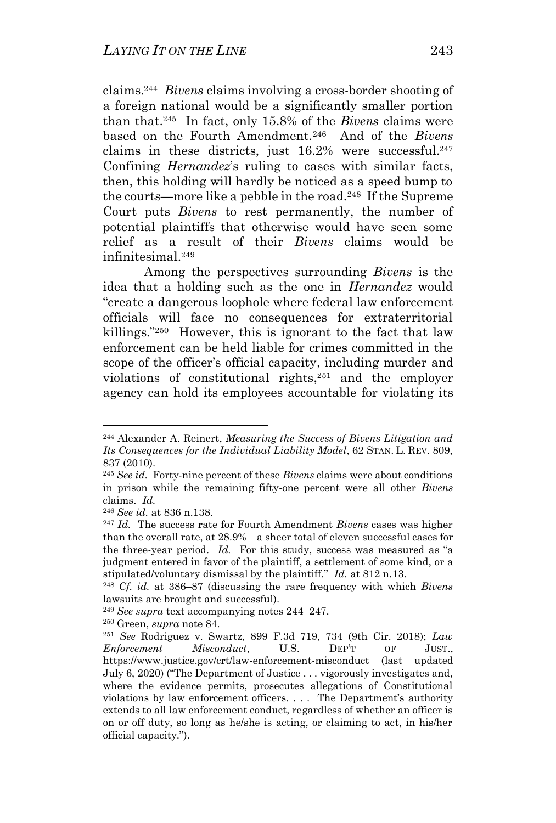<span id="page-38-1"></span><span id="page-38-0"></span>claims.<sup>244</sup> *Bivens* claims involving a cross-border shooting of a foreign national would be a significantly smaller portion than that.<sup>245</sup> In fact, only 15.8% of the *Bivens* claims were based on the Fourth Amendment.<sup>246</sup> And of the *Bivens*  claims in these districts, just  $16.2\%$  were successful.<sup>247</sup> Confining *Hernandez*'s ruling to cases with similar facts, then, this holding will hardly be noticed as a speed bump to the courts—more like a pebble in the road.<sup>248</sup> If the Supreme Court puts *Bivens* to rest permanently, the number of potential plaintiffs that otherwise would have seen some relief as a result of their *Bivens* claims would be infinitesimal.<sup>249</sup>

Among the perspectives surrounding *Bivens* is the idea that a holding such as the one in *Hernandez* would "create a dangerous loophole where federal law enforcement officials will face no consequences for extraterritorial killings."<sup>250</sup> However, this is ignorant to the fact that law enforcement can be held liable for crimes committed in the scope of the officer's official capacity, including murder and violations of constitutional rights, <sup>251</sup> and the employer agency can hold its employees accountable for violating its

<sup>244</sup> Alexander A. Reinert, *Measuring the Success of Bivens Litigation and Its Consequences for the Individual Liability Model*, 62 STAN. L. REV. 809, 837 (2010).

<sup>245</sup> *See id.* Forty-nine percent of these *Bivens* claims were about conditions in prison while the remaining fifty-one percent were all other *Bivens*  claims. *Id.*

<sup>246</sup> *See id.* at 836 n.138.

<sup>247</sup> *Id.* The success rate for Fourth Amendment *Bivens* cases was higher than the overall rate, at 28.9%—a sheer total of eleven successful cases for the three-year period. *Id.* For this study, success was measured as "a judgment entered in favor of the plaintiff, a settlement of some kind, or a stipulated/voluntary dismissal by the plaintiff." *Id.* at 812 n.13.

<sup>248</sup> *Cf. id.* at 386–87 (discussing the rare frequency with which *Bivens*  lawsuits are brought and successful).

<sup>249</sup> *See supra* text accompanying notes [244](#page-38-0)–[247.](#page-38-1)

<sup>250</sup> Green, *supra* note [84.](#page-12-3)

<sup>251</sup> *See* Rodriguez v. Swartz, 899 F.3d 719, 734 (9th Cir. 2018); *Law Enforcement Misconduct*, U.S. DEP'T OF JUST., https://www.justice.gov/crt/law-enforcement-misconduct (last updated July 6, 2020) ("The Department of Justice . . . vigorously investigates and, where the evidence permits, prosecutes allegations of Constitutional violations by law enforcement officers. . . . The Department's authority extends to all law enforcement conduct, regardless of whether an officer is on or off duty, so long as he/she is acting, or claiming to act, in his/her official capacity.").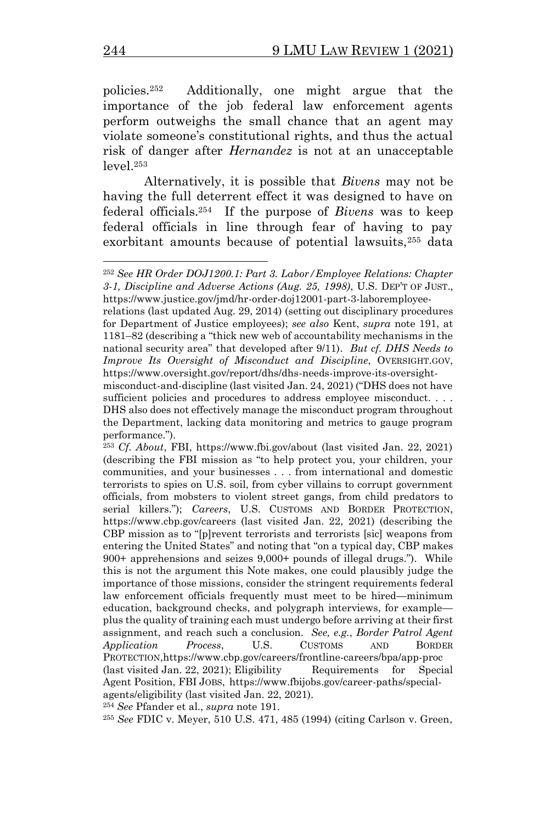policies.<sup>252</sup> Additionally, one might argue that the importance of the job federal law enforcement agents perform outweighs the small chance that an agent may violate someone's constitutional rights, and thus the actual risk of danger after *Hernandez* is not at an unacceptable level.<sup>253</sup>

Alternatively, it is possible that *Bivens* may not be having the full deterrent effect it was designed to have on federal officials.<sup>254</sup> If the purpose of *Bivens* was to keep federal officials in line through fear of having to pay exorbitant amounts because of potential lawsuits,<sup>255</sup> data

relations (last updated Aug. 29, 2014) (setting out disciplinary procedures for Department of Justice employees); *see also* Kent, *supra* note 191, at 1181–82 (describing a "thick new web of accountability mechanisms in the national security area" that developed after 9/11). *But cf. DHS Needs to Improve Its Oversight of Misconduct and Discipline*, OVERSIGHT.GOV, https://www.oversight.gov/report/dhs/dhs-needs-improve-its-oversight-

<sup>254</sup> *See* Pfander et al., *supra* note [191.](#page-29-0)

<sup>255</sup> *See* FDIC v. Meyer, 510 U.S. 471, 485 (1994) (citing Carlson v. Green,

<sup>252</sup> *See HR Order DOJ1200.1: Part 3. Labor/Employee Relations: Chapter 3-1, Discipline and Adverse Actions (Aug. 25, 1998)*, U.S. DEP'T OF JUST., https://www.justice.gov/jmd/hr-order-doj12001-part-3-laboremployee-

misconduct-and-discipline (last visited Jan. 24, 2021) ("DHS does not have sufficient policies and procedures to address employee misconduct. . . . DHS also does not effectively manage the misconduct program throughout the Department, lacking data monitoring and metrics to gauge program performance.").

<sup>253</sup> *Cf. About*, FBI, https://www.fbi.gov/about (last visited Jan. 22, 2021) (describing the FBI mission as "to help protect you, your children, your communities, and your businesses . . . from international and domestic terrorists to spies on U.S. soil, from cyber villains to corrupt government officials, from mobsters to violent street gangs, from child predators to serial killers."); *Careers*, U.S. CUSTOMS AND BORDER PROTECTION, https://www.cbp.gov/careers (last visited Jan. 22, 2021) (describing the CBP mission as to "[p]revent terrorists and terrorists [sic] weapons from entering the United States" and noting that "on a typical day, CBP makes 900+ apprehensions and seizes 9,000+ pounds of illegal drugs."). While this is not the argument this Note makes, one could plausibly judge the importance of those missions, consider the stringent requirements federal law enforcement officials frequently must meet to be hired—minimum education, background checks, and polygraph interviews, for example plus the quality of training each must undergo before arriving at their first assignment, and reach such a conclusion. *See, e.g.*, *Border Patrol Agent Application Process*, U.S. CUSTOMS AND BORDER PROTECTION,https://www.cbp.gov/careers/frontline-careers/bpa/app-proc (last visited Jan. 22, 2021); Eligibility Requirements for Special Agent Position, FBI JOBS, https://www.fbijobs.gov/career-paths/specialagents/eligibility (last visited Jan. 22, 2021).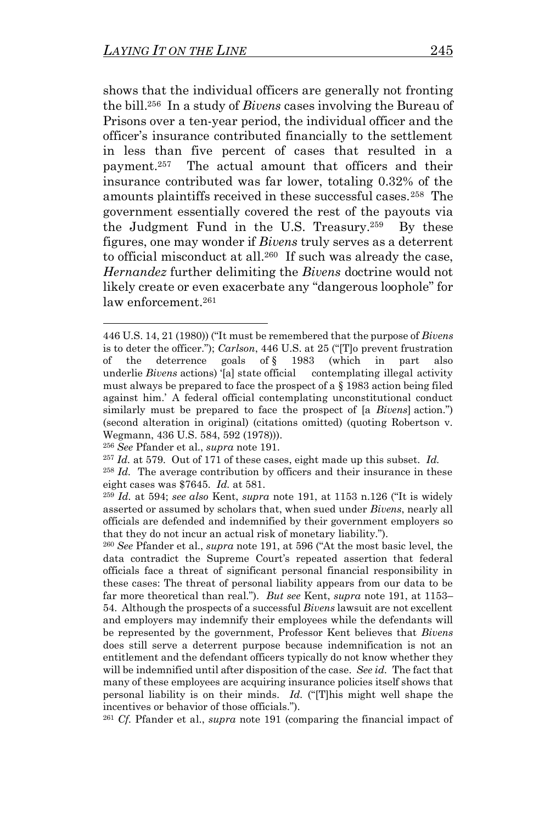shows that the individual officers are generally not fronting the bill. 256 In a study of *Bivens* cases involving the Bureau of Prisons over a ten-year period, the individual officer and the officer's insurance contributed financially to the settlement in less than five percent of cases that resulted in a payment.<sup>257</sup> The actual amount that officers and their insurance contributed was far lower, totaling 0.32% of the amounts plaintiffs received in these successful cases.<sup>258</sup> The government essentially covered the rest of the payouts via the Judgment Fund in the U.S. Treasury.<sup>259</sup> By these figures, one may wonder if *Bivens* truly serves as a deterrent to official misconduct at all.<sup>260</sup> If such was already the case, *Hernandez* further delimiting the *Bivens* doctrine would not likely create or even exacerbate any "dangerous loophole" for law enforcement.<sup>261</sup>

<sup>446</sup> U.S. 14, 21 (1980)) ("It must be remembered that the purpose of *Bivens*  is to deter the officer."); *Carlson*, 446 U.S. at 25 ("[T]o prevent frustration of the deterrence goals of § 1983 (which in part also underlie *Bivens* actions) '[a] state official contemplating illegal activity must always be prepared to face the prospect of a § 1983 action being filed against him.' A federal official contemplating unconstitutional conduct similarly must be prepared to face the prospect of [a *Bivens*] action.") (second alteration in original) (citations omitted) (quoting Robertson v. Wegmann, 436 U.S. 584, 592 (1978))).

<sup>256</sup> *See* Pfander et al., *supra* note [191.](#page-29-0)

<sup>257</sup> *Id.* at 579. Out of 171 of these cases, eight made up this subset. *Id.*

<sup>&</sup>lt;sup>258</sup> *Id.* The average contribution by officers and their insurance in these eight cases was \$7645. *Id.* at 581.

<sup>259</sup> *Id.* at 594; *see also* Kent, *supra* note [191,](#page-29-0) at 1153 n.126 ("It is widely asserted or assumed by scholars that, when sued under *Bivens*, nearly all officials are defended and indemnified by their government employers so that they do not incur an actual risk of monetary liability.").

<sup>260</sup> *See* Pfander et al., *supra* note [191,](#page-29-0) at 596 ("At the most basic level, the data contradict the Supreme Court's repeated assertion that federal officials face a threat of significant personal financial responsibility in these cases: The threat of personal liability appears from our data to be far more theoretical than real."). *But see* Kent, *supra* note [191,](#page-29-0) at 1153– 54. Although the prospects of a successful *Bivens* lawsuit are not excellent and employers may indemnify their employees while the defendants will be represented by the government, Professor Kent believes that *Bivens*  does still serve a deterrent purpose because indemnification is not an entitlement and the defendant officers typically do not know whether they will be indemnified until after disposition of the case. *See id.* The fact that many of these employees are acquiring insurance policies itself shows that personal liability is on their minds. *Id.* ("[T]his might well shape the incentives or behavior of those officials.").

<sup>261</sup> *Cf.* Pfander et al., *supra* note [191](#page-29-0) (comparing the financial impact of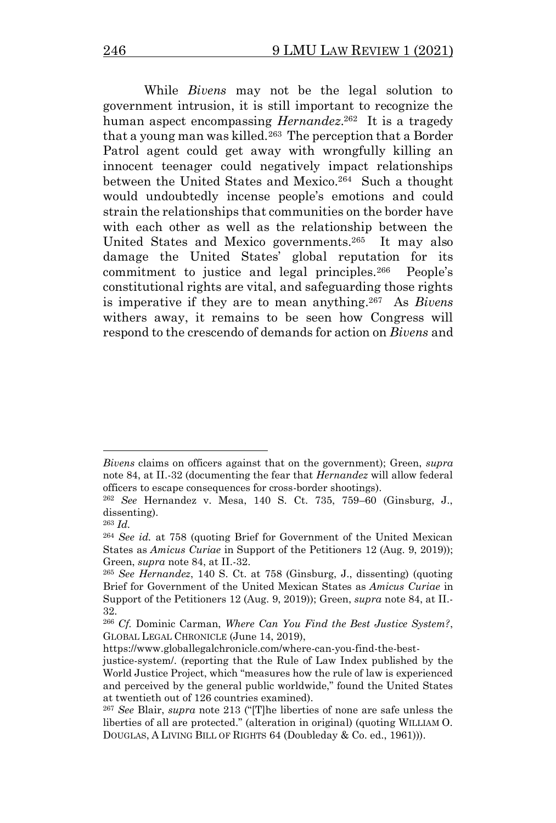<span id="page-41-0"></span>While *Bivens* may not be the legal solution to government intrusion, it is still important to recognize the human aspect encompassing *Hernandez*. 262 It is a tragedy that a young man was killed.<sup>263</sup> The perception that a Border Patrol agent could get away with wrongfully killing an innocent teenager could negatively impact relationships between the United States and Mexico.<sup>264</sup> Such a thought would undoubtedly incense people's emotions and could strain the relationships that communities on the border have with each other as well as the relationship between the United States and Mexico governments.<sup>265</sup> It may also damage the United States' global reputation for its commitment to justice and legal principles.<sup>266</sup> People's constitutional rights are vital, and safeguarding those rights is imperative if they are to mean anything.<sup>267</sup> As *Bivens*  withers away, it remains to be seen how Congress will respond to the crescendo of demands for action on *Bivens* and

*Bivens* claims on officers against that on the government); Green, *supra*  not[e 84,](#page-12-3) at II.-32 (documenting the fear that *Hernandez* will allow federal officers to escape consequences for cross-border shootings).

<sup>262</sup> *See* Hernandez v. Mesa, 140 S. Ct. 735, 759–60 (Ginsburg, J., dissenting).

<sup>263</sup> *Id.*

<sup>264</sup> *See id.* at 758 (quoting Brief for Government of the United Mexican States as *Amicus Curiae* in Support of the Petitioners 12 (Aug. 9, 2019)); Green, *supra* not[e 84,](#page-12-3) at II.-32.

<sup>265</sup> *See Hernandez*, 140 S. Ct. at 758 (Ginsburg, J., dissenting) (quoting Brief for Government of the United Mexican States as *Amicus Curiae* in Support of the Petitioners 12 (Aug. 9, 2019)); Green, *supra* note [84,](#page-12-3) at II.- 32.

<sup>266</sup> *Cf.* Dominic Carman, *Where Can You Find the Best Justice System?*, GLOBAL LEGAL CHRONICLE (June 14, 2019),

https://www.globallegalchronicle.com/where-can-you-find-the-best-

justice-system/. (reporting that the Rule of Law Index published by the World Justice Project, which "measures how the rule of law is experienced and perceived by the general public worldwide," found the United States at twentieth out of 126 countries examined).

<sup>267</sup> *See* Blair, *supra* note [213](#page-32-2) ("[T]he liberties of none are safe unless the liberties of all are protected." (alteration in original) (quoting WILLIAM O. DOUGLAS, A LIVING BILL OF RIGHTS 64 (Doubleday & Co. ed., 1961))).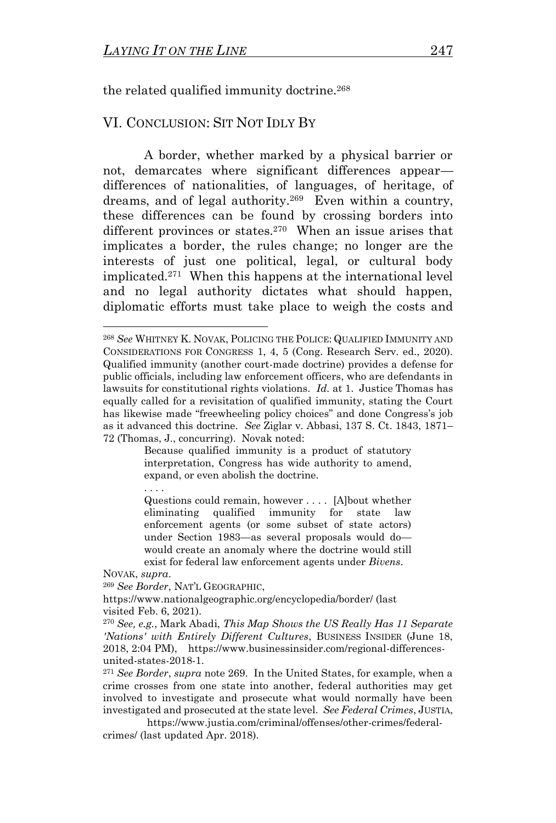<span id="page-42-0"></span>the related qualified immunity doctrine.<sup>268</sup>

## VI. CONCLUSION: SIT NOT IDLY BY

<span id="page-42-1"></span>A border, whether marked by a physical barrier or not, demarcates where significant differences appear differences of nationalities, of languages, of heritage, of dreams, and of legal authority.<sup>269</sup> Even within a country, these differences can be found by crossing borders into different provinces or states.<sup>270</sup> When an issue arises that implicates a border, the rules change; no longer are the interests of just one political, legal, or cultural body implicated.<sup>271</sup> When this happens at the international level and no legal authority dictates what should happen, diplomatic efforts must take place to weigh the costs and

Because qualified immunity is a product of statutory interpretation, Congress has wide authority to amend, expand, or even abolish the doctrine.

Questions could remain, however . . . . [A]bout whether eliminating qualified immunity for state law enforcement agents (or some subset of state actors) under Section 1983—as several proposals would do would create an anomaly where the doctrine would still exist for federal law enforcement agents under *Bivens*.

NOVAK, *supra*.

<sup>269</sup> *See Border*, NAT'L GEOGRAPHIC,

https://www.nationalgeographic.org/encyclopedia/border/ (last visited Feb. 6, 2021).

<sup>271</sup> *See Border*, *supra* note [269.](#page-42-1) In the United States, for example, when a crime crosses from one state into another, federal authorities may get involved to investigate and prosecute what would normally have been investigated and prosecuted at the state level. *See Federal Crimes*, JUSTIA,

https://www.justia.com/criminal/offenses/other-crimes/federalcrimes/ (last updated Apr. 2018).

<sup>268</sup> *See* WHITNEY K. NOVAK, POLICING THE POLICE: QUALIFIED IMMUNITY AND CONSIDERATIONS FOR CONGRESS 1, 4, 5 (Cong. Research Serv. ed., 2020). Qualified immunity (another court-made doctrine) provides a defense for public officials, including law enforcement officers, who are defendants in lawsuits for constitutional rights violations. *Id.* at 1. Justice Thomas has equally called for a revisitation of qualified immunity, stating the Court has likewise made "freewheeling policy choices" and done Congress's job as it advanced this doctrine. *See* Ziglar v. Abbasi, 137 S. Ct. 1843, 1871– 72 (Thomas, J., concurring). Novak noted:

<sup>270</sup> *See, e.g.*, Mark Abadi, *This Map Shows the US Really Has 11 Separate 'Nations' with Entirely Different Cultures*, BUSINESS INSIDER (June 18, 2018, 2:04 PM), https://www.businessinsider.com/regional-differencesunited-states-2018-1.